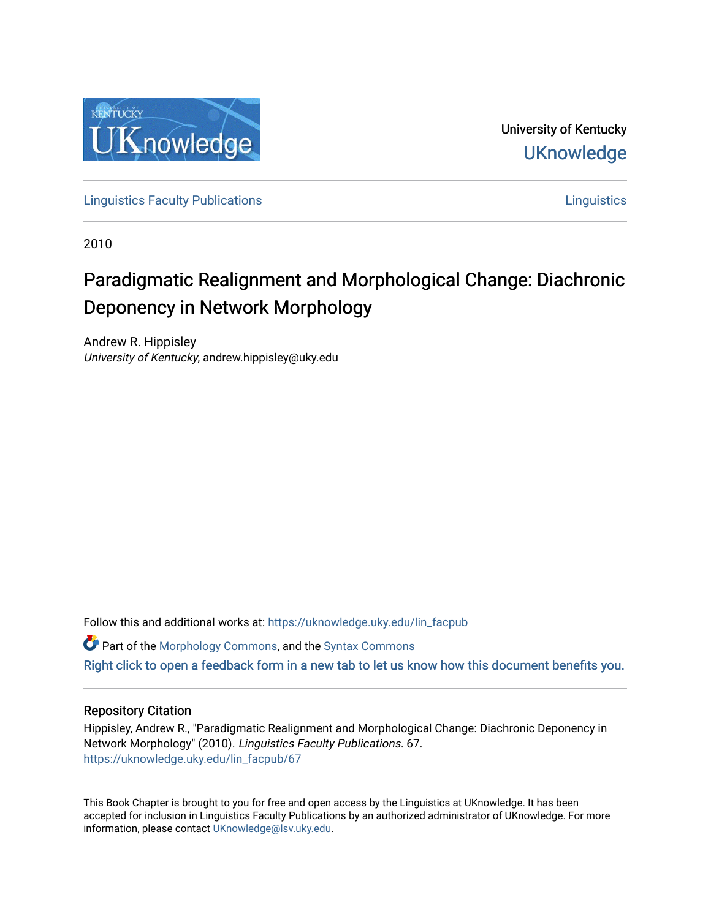

University of Kentucky **UKnowledge** 

[Linguistics Faculty Publications](https://uknowledge.uky.edu/lin_facpub) [Linguistics](https://uknowledge.uky.edu/lin) 

2010

# Paradigmatic Realignment and Morphological Change: Diachronic Deponency in Network Morphology

Andrew R. Hippisley University of Kentucky, andrew.hippisley@uky.edu

Follow this and additional works at: [https://uknowledge.uky.edu/lin\\_facpub](https://uknowledge.uky.edu/lin_facpub?utm_source=uknowledge.uky.edu%2Flin_facpub%2F67&utm_medium=PDF&utm_campaign=PDFCoverPages)

**C** Part of the [Morphology Commons,](http://network.bepress.com/hgg/discipline/380?utm_source=uknowledge.uky.edu%2Flin_facpub%2F67&utm_medium=PDF&utm_campaign=PDFCoverPages) and the [Syntax Commons](http://network.bepress.com/hgg/discipline/384?utm_source=uknowledge.uky.edu%2Flin_facpub%2F67&utm_medium=PDF&utm_campaign=PDFCoverPages)

[Right click to open a feedback form in a new tab to let us know how this document benefits you.](https://uky.az1.qualtrics.com/jfe/form/SV_9mq8fx2GnONRfz7)

#### Repository Citation

Hippisley, Andrew R., "Paradigmatic Realignment and Morphological Change: Diachronic Deponency in Network Morphology" (2010). Linguistics Faculty Publications. 67. [https://uknowledge.uky.edu/lin\\_facpub/67](https://uknowledge.uky.edu/lin_facpub/67?utm_source=uknowledge.uky.edu%2Flin_facpub%2F67&utm_medium=PDF&utm_campaign=PDFCoverPages) 

This Book Chapter is brought to you for free and open access by the Linguistics at UKnowledge. It has been accepted for inclusion in Linguistics Faculty Publications by an authorized administrator of UKnowledge. For more information, please contact [UKnowledge@lsv.uky.edu](mailto:UKnowledge@lsv.uky.edu).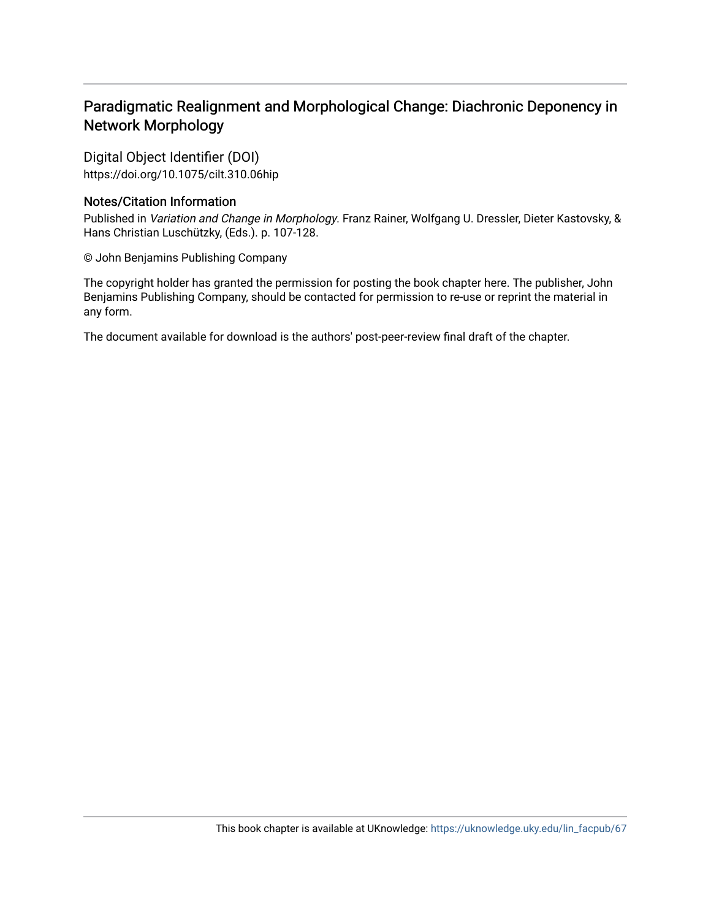# Paradigmatic Realignment and Morphological Change: Diachronic Deponency in Network Morphology

Digital Object Identifier (DOI) https://doi.org/10.1075/cilt.310.06hip

# Notes/Citation Information

Published in Variation and Change in Morphology. Franz Rainer, Wolfgang U. Dressler, Dieter Kastovsky, & Hans Christian Luschützky, (Eds.). p. 107-128.

© John Benjamins Publishing Company

The copyright holder has granted the permission for posting the book chapter here. The publisher, John Benjamins Publishing Company, should be contacted for permission to re-use or reprint the material in any form.

The document available for download is the authors' post-peer-review final draft of the chapter.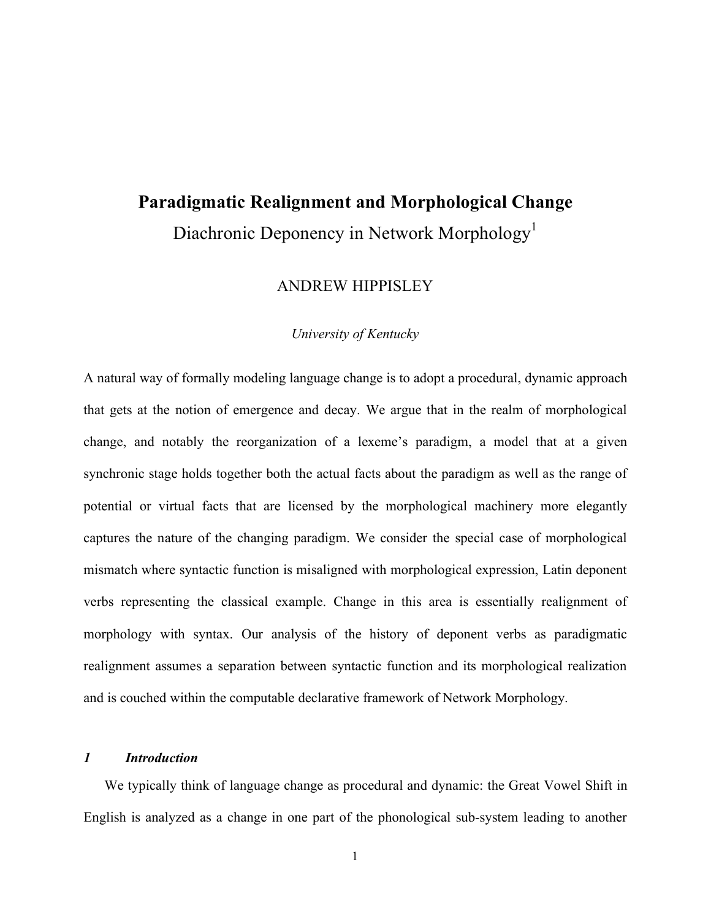# **Paradigmatic Realignment and Morphological Change** Diachronic Deponency in Network Morphology<sup>1</sup>

ANDREW HIPPISLEY

#### *University of Kentucky*

A natural way of formally modeling language change is to adopt a procedural, dynamic approach that gets at the notion of emergence and decay. We argue that in the realm of morphological change, and notably the reorganization of a lexeme's paradigm, a model that at a given synchronic stage holds together both the actual facts about the paradigm as well as the range of potential or virtual facts that are licensed by the morphological machinery more elegantly captures the nature of the changing paradigm. We consider the special case of morphological mismatch where syntactic function is misaligned with morphological expression, Latin deponent verbs representing the classical example. Change in this area is essentially realignment of morphology with syntax. Our analysis of the history of deponent verbs as paradigmatic realignment assumes a separation between syntactic function and its morphological realization and is couched within the computable declarative framework of Network Morphology.

#### *1 Introduction*

We typically think of language change as procedural and dynamic: the Great Vowel Shift in English is analyzed as a change in one part of the phonological sub-system leading to another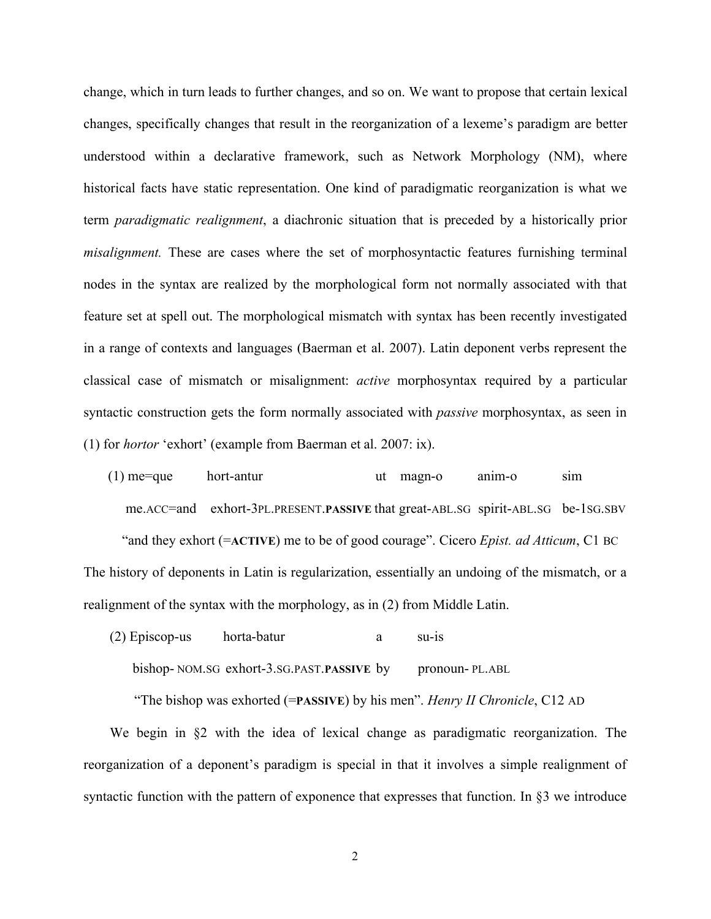change, which in turn leads to further changes, and so on. We want to propose that certain lexical changes, specifically changes that result in the reorganization of a lexeme's paradigm are better understood within a declarative framework, such as Network Morphology (NM), where historical facts have static representation. One kind of paradigmatic reorganization is what we term *paradigmatic realignment*, a diachronic situation that is preceded by a historically prior *misalignment.* These are cases where the set of morphosyntactic features furnishing terminal nodes in the syntax are realized by the morphological form not normally associated with that feature set at spell out. The morphological mismatch with syntax has been recently investigated in a range of contexts and languages (Baerman et al. 2007). Latin deponent verbs represent the classical case of mismatch or misalignment: *active* morphosyntax required by a particular syntactic construction gets the form normally associated with *passive* morphosyntax, as seen in (1) for *hortor* 'exhort' (example from Baerman et al. 2007: ix).

- (1) me=que hort-antur ut magn-o anim-o sim me.ACC=and exhort-3PL.PRESENT.**PASSIVE** that great-ABL.SG spirit-ABL.SG be-1SG.SBV "and they exhort (=**ACTIVE**) me to be of good courage". Cicero *Epist. ad Atticum*, C1 BC The history of deponents in Latin is regularization, essentially an undoing of the mismatch, or a realignment of the syntax with the morphology, as in (2) from Middle Latin.
	- (2) Episcop-us horta-batur a su-is

bishop- NOM.SG exhort-3.SG.PAST.**PASSIVE** by pronoun- PL.ABL

"The bishop was exhorted (=**PASSIVE**) by his men". *Henry II Chronicle*, C12 AD

We begin in §2 with the idea of lexical change as paradigmatic reorganization. The reorganization of a deponent's paradigm is special in that it involves a simple realignment of syntactic function with the pattern of exponence that expresses that function. In §3 we introduce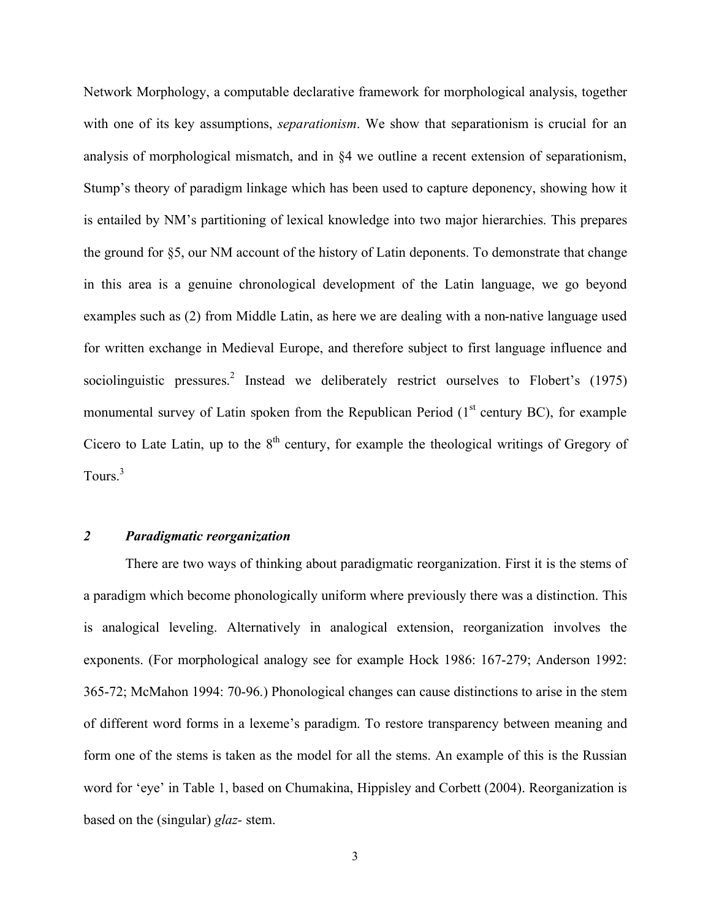Network Morphology, a computable declarative framework for morphological analysis, together with one of its key assumptions, *separationism*. We show that separationism is crucial for an analysis of morphological mismatch, and in §4 we outline a recent extension of separationism, Stump's theory of paradigm linkage which has been used to capture deponency, showing how it is entailed by NM's partitioning of lexical knowledge into two major hierarchies. This prepares the ground for §5, our NM account of the history of Latin deponents. To demonstrate that change in this area is a genuine chronological development of the Latin language, we go beyond examples such as (2) from Middle Latin, as here we are dealing with a non-native language used for written exchange in Medieval Europe, and therefore subject to first language influence and sociolinguistic pressures.<sup>2</sup> Instead we deliberately restrict ourselves to Flobert's (1975) monumental survey of Latin spoken from the Republican Period  $(1<sup>st</sup>$  century BC), for example Cicero to Late Latin, up to the  $8<sup>th</sup>$  century, for example the theological writings of Gregory of Tours.<sup>3</sup>

# *2 Paradigmatic reorganization*

There are two ways of thinking about paradigmatic reorganization. First it is the stems of a paradigm which become phonologically uniform where previously there was a distinction. This is analogical leveling. Alternatively in analogical extension, reorganization involves the exponents. (For morphological analogy see for example Hock 1986: 167-279; Anderson 1992: 365-72; McMahon 1994: 70-96.) Phonological changes can cause distinctions to arise in the stem of different word forms in a lexeme's paradigm. To restore transparency between meaning and form one of the stems is taken as the model for all the stems. An example of this is the Russian word for 'eye' in Table 1, based on Chumakina, Hippisley and Corbett (2004). Reorganization is based on the (singular) *glaz-* stem.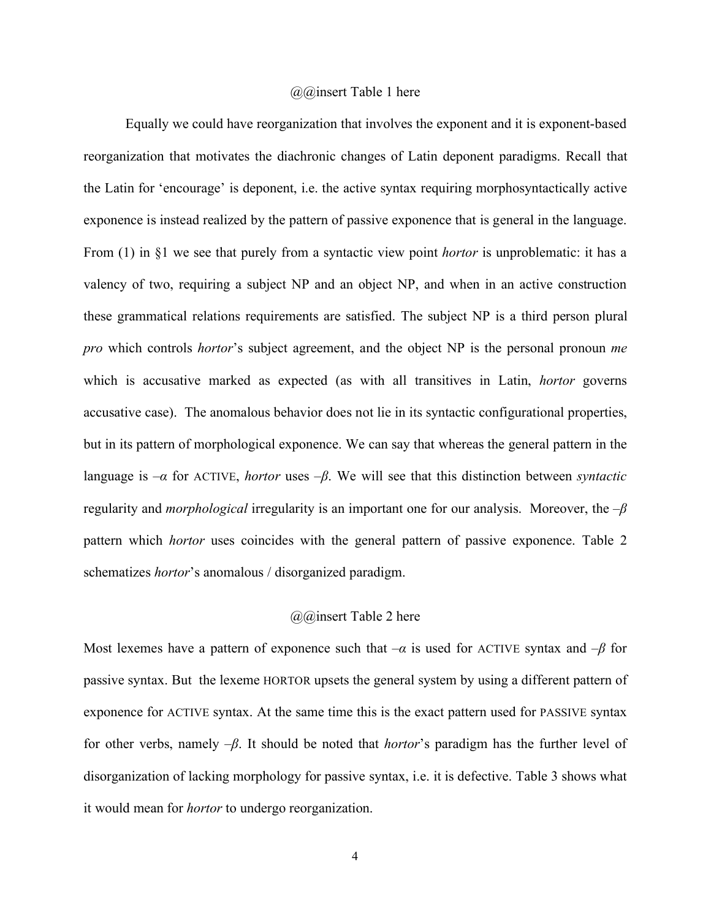#### @@insert Table 1 here

Equally we could have reorganization that involves the exponent and it is exponent-based reorganization that motivates the diachronic changes of Latin deponent paradigms. Recall that the Latin for 'encourage' is deponent, i.e. the active syntax requiring morphosyntactically active exponence is instead realized by the pattern of passive exponence that is general in the language. From (1) in §1 we see that purely from a syntactic view point *hortor* is unproblematic: it has a valency of two, requiring a subject NP and an object NP, and when in an active construction these grammatical relations requirements are satisfied. The subject NP is a third person plural *pro* which controls *hortor*'s subject agreement, and the object NP is the personal pronoun *me* which is accusative marked as expected (as with all transitives in Latin, *hortor* governs accusative case). The anomalous behavior does not lie in its syntactic configurational properties, but in its pattern of morphological exponence. We can say that whereas the general pattern in the language is *–α* for ACTIVE, *hortor* uses *–β*. We will see that this distinction between *syntactic* regularity and *morphological* irregularity is an important one for our analysis. Moreover, the *–β* pattern which *hortor* uses coincides with the general pattern of passive exponence. Table 2 schematizes *hortor*'s anomalous / disorganized paradigm.

#### @@insert Table 2 here

Most lexemes have a pattern of exponence such that  $-\alpha$  is used for ACTIVE syntax and  $-\beta$  for passive syntax. But the lexeme HORTOR upsets the general system by using a different pattern of exponence for ACTIVE syntax. At the same time this is the exact pattern used for PASSIVE syntax for other verbs, namely *–β*. It should be noted that *hortor*'s paradigm has the further level of disorganization of lacking morphology for passive syntax, i.e. it is defective. Table 3 shows what it would mean for *hortor* to undergo reorganization.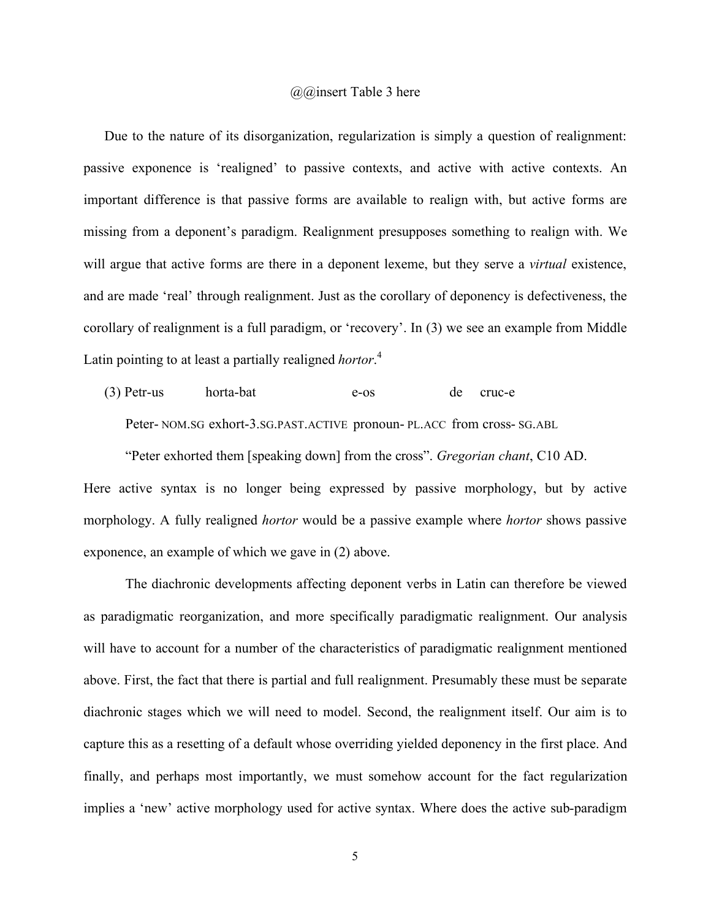#### @@insert Table 3 here

Due to the nature of its disorganization, regularization is simply a question of realignment: passive exponence is 'realigned' to passive contexts, and active with active contexts. An important difference is that passive forms are available to realign with, but active forms are missing from a deponent's paradigm. Realignment presupposes something to realign with. We will argue that active forms are there in a deponent lexeme, but they serve a *virtual* existence, and are made 'real' through realignment. Just as the corollary of deponency is defectiveness, the corollary of realignment is a full paradigm, or 'recovery'. In (3) we see an example from Middle Latin pointing to at least a partially realigned *hortor*. 4

(3) Petr-us horta-bat e-os de cruc-e Peter- NOM.SG exhort-3.SG.PAST.ACTIVE pronoun- PL.ACC from cross- SG.ABL

"Peter exhorted them [speaking down] from the cross". *Gregorian chant*, C10 AD. Here active syntax is no longer being expressed by passive morphology, but by active morphology. A fully realigned *hortor* would be a passive example where *hortor* shows passive exponence, an example of which we gave in (2) above.

The diachronic developments affecting deponent verbs in Latin can therefore be viewed as paradigmatic reorganization, and more specifically paradigmatic realignment. Our analysis will have to account for a number of the characteristics of paradigmatic realignment mentioned above. First, the fact that there is partial and full realignment. Presumably these must be separate diachronic stages which we will need to model. Second, the realignment itself. Our aim is to capture this as a resetting of a default whose overriding yielded deponency in the first place. And finally, and perhaps most importantly, we must somehow account for the fact regularization implies a 'new' active morphology used for active syntax. Where does the active sub-paradigm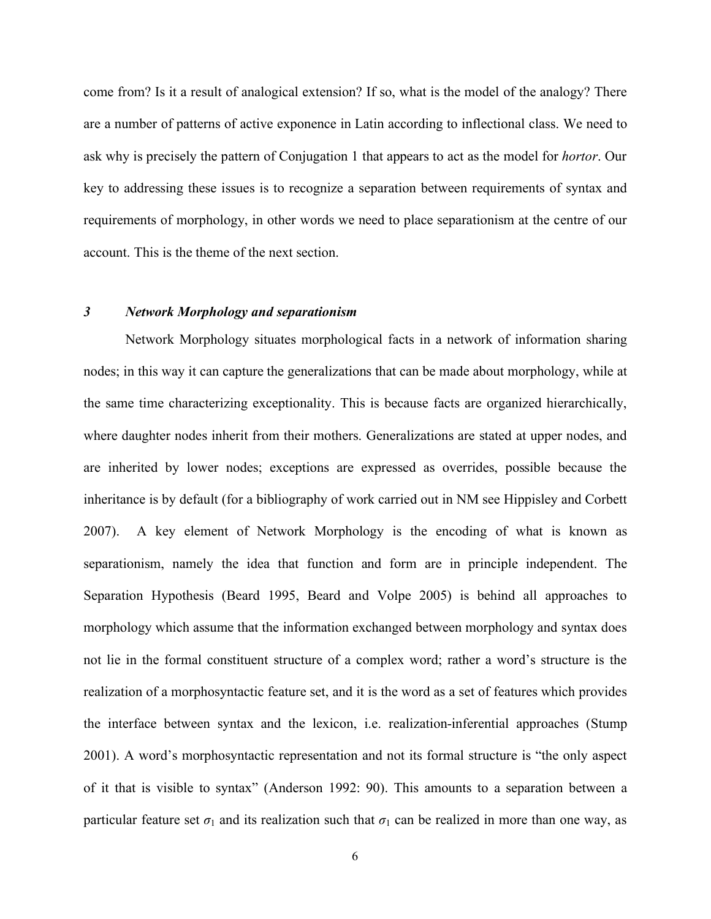come from? Is it a result of analogical extension? If so, what is the model of the analogy? There are a number of patterns of active exponence in Latin according to inflectional class. We need to ask why is precisely the pattern of Conjugation 1 that appears to act as the model for *hortor*. Our key to addressing these issues is to recognize a separation between requirements of syntax and requirements of morphology, in other words we need to place separationism at the centre of our account. This is the theme of the next section.

#### *3 Network Morphology and separationism*

Network Morphology situates morphological facts in a network of information sharing nodes; in this way it can capture the generalizations that can be made about morphology, while at the same time characterizing exceptionality. This is because facts are organized hierarchically, where daughter nodes inherit from their mothers. Generalizations are stated at upper nodes, and are inherited by lower nodes; exceptions are expressed as overrides, possible because the inheritance is by default (for a bibliography of work carried out in NM see Hippisley and Corbett 2007). A key element of Network Morphology is the encoding of what is known as separationism, namely the idea that function and form are in principle independent. The Separation Hypothesis (Beard 1995, Beard and Volpe 2005) is behind all approaches to morphology which assume that the information exchanged between morphology and syntax does not lie in the formal constituent structure of a complex word; rather a word's structure is the realization of a morphosyntactic feature set, and it is the word as a set of features which provides the interface between syntax and the lexicon, i.e. realization-inferential approaches (Stump 2001). A word's morphosyntactic representation and not its formal structure is "the only aspect of it that is visible to syntax" (Anderson 1992: 90). This amounts to a separation between a particular feature set  $\sigma_1$  and its realization such that  $\sigma_1$  can be realized in more than one way, as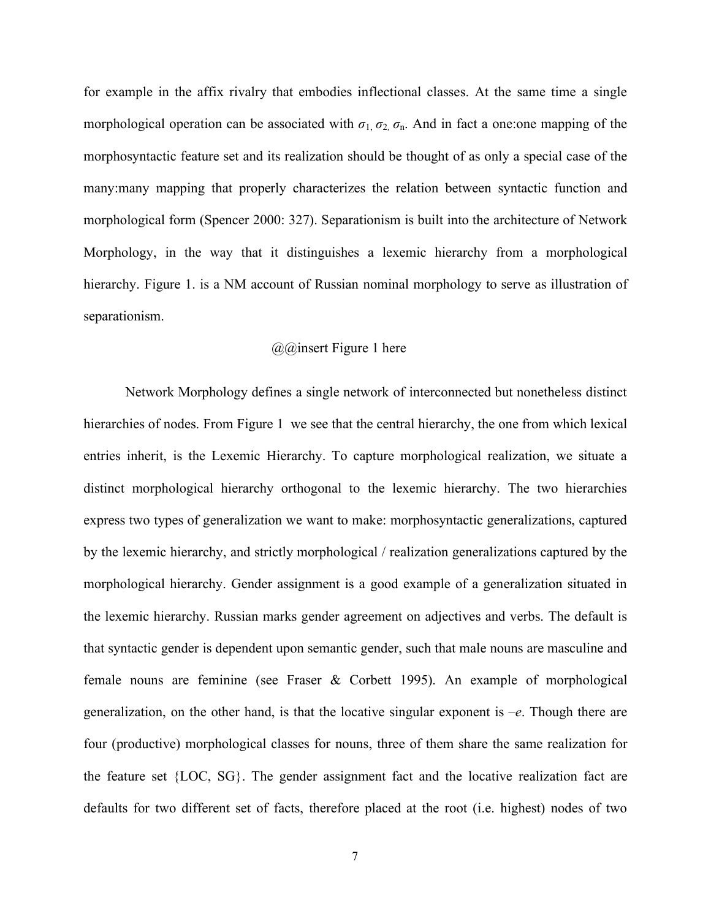for example in the affix rivalry that embodies inflectional classes. At the same time a single morphological operation can be associated with  $\sigma_1$ ,  $\sigma_2$ ,  $\sigma_n$ . And in fact a one:one mapping of the morphosyntactic feature set and its realization should be thought of as only a special case of the many:many mapping that properly characterizes the relation between syntactic function and morphological form (Spencer 2000: 327). Separationism is built into the architecture of Network Morphology, in the way that it distinguishes a lexemic hierarchy from a morphological hierarchy. Figure 1. is a NM account of Russian nominal morphology to serve as illustration of separationism.

#### $(a)$ a insert Figure 1 here

Network Morphology defines a single network of interconnected but nonetheless distinct hierarchies of nodes. From Figure 1 we see that the central hierarchy, the one from which lexical entries inherit, is the Lexemic Hierarchy. To capture morphological realization, we situate a distinct morphological hierarchy orthogonal to the lexemic hierarchy. The two hierarchies express two types of generalization we want to make: morphosyntactic generalizations, captured by the lexemic hierarchy, and strictly morphological / realization generalizations captured by the morphological hierarchy. Gender assignment is a good example of a generalization situated in the lexemic hierarchy. Russian marks gender agreement on adjectives and verbs. The default is that syntactic gender is dependent upon semantic gender, such that male nouns are masculine and female nouns are feminine (see Fraser & Corbett 1995). An example of morphological generalization, on the other hand, is that the locative singular exponent is *–e*. Though there are four (productive) morphological classes for nouns, three of them share the same realization for the feature set {LOC, SG}. The gender assignment fact and the locative realization fact are defaults for two different set of facts, therefore placed at the root (i.e. highest) nodes of two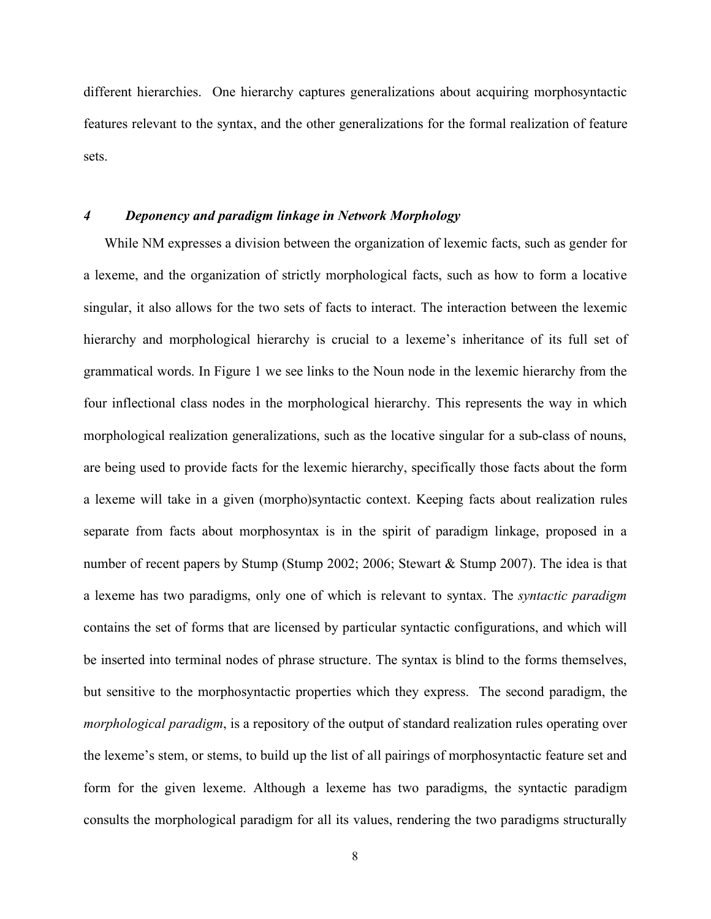different hierarchies. One hierarchy captures generalizations about acquiring morphosyntactic features relevant to the syntax, and the other generalizations for the formal realization of feature sets.

#### *4 Deponency and paradigm linkage in Network Morphology*

While NM expresses a division between the organization of lexemic facts, such as gender for a lexeme, and the organization of strictly morphological facts, such as how to form a locative singular, it also allows for the two sets of facts to interact. The interaction between the lexemic hierarchy and morphological hierarchy is crucial to a lexeme's inheritance of its full set of grammatical words. In Figure 1 we see links to the Noun node in the lexemic hierarchy from the four inflectional class nodes in the morphological hierarchy. This represents the way in which morphological realization generalizations, such as the locative singular for a sub-class of nouns, are being used to provide facts for the lexemic hierarchy, specifically those facts about the form a lexeme will take in a given (morpho)syntactic context. Keeping facts about realization rules separate from facts about morphosyntax is in the spirit of paradigm linkage, proposed in a number of recent papers by Stump (Stump 2002; 2006; Stewart & Stump 2007). The idea is that a lexeme has two paradigms, only one of which is relevant to syntax. The *syntactic paradigm* contains the set of forms that are licensed by particular syntactic configurations, and which will be inserted into terminal nodes of phrase structure. The syntax is blind to the forms themselves, but sensitive to the morphosyntactic properties which they express. The second paradigm, the *morphological paradigm*, is a repository of the output of standard realization rules operating over the lexeme's stem, or stems, to build up the list of all pairings of morphosyntactic feature set and form for the given lexeme. Although a lexeme has two paradigms, the syntactic paradigm consults the morphological paradigm for all its values, rendering the two paradigms structurally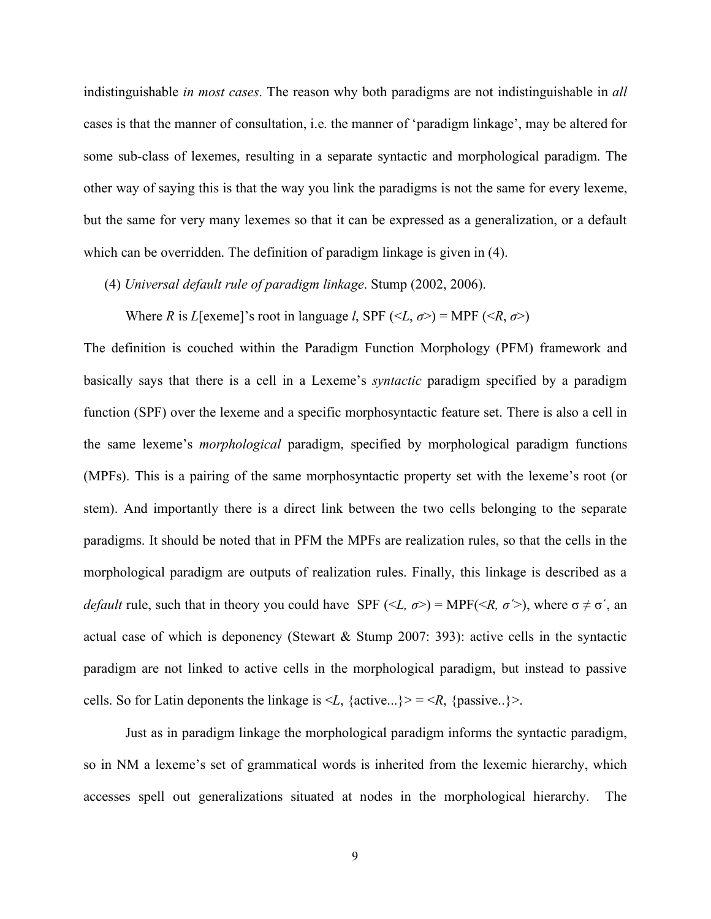indistinguishable *in most cases*. The reason why both paradigms are not indistinguishable in *all* cases is that the manner of consultation, i.e. the manner of 'paradigm linkage', may be altered for some sub-class of lexemes, resulting in a separate syntactic and morphological paradigm. The other way of saying this is that the way you link the paradigms is not the same for every lexeme, but the same for very many lexemes so that it can be expressed as a generalization, or a default which can be overridden. The definition of paradigm linkage is given in (4).

(4) *Universal default rule of paradigm linkage*. Stump (2002, 2006).

Where *R* is *L*[exeme]'s root in language *l*, SPF  $(\leq L, \sigma$ ) = MPF  $(\leq R, \sigma$ )

The definition is couched within the Paradigm Function Morphology (PFM) framework and basically says that there is a cell in a Lexeme's *syntactic* paradigm specified by a paradigm function (SPF) over the lexeme and a specific morphosyntactic feature set. There is also a cell in the same lexeme's *morphological* paradigm, specified by morphological paradigm functions (MPFs). This is a pairing of the same morphosyntactic property set with the lexeme's root (or stem). And importantly there is a direct link between the two cells belonging to the separate paradigms. It should be noted that in PFM the MPFs are realization rules, so that the cells in the morphological paradigm are outputs of realization rules. Finally, this linkage is described as a *default* rule, such that in theory you could have SPF ( $\langle L, \sigma \rangle$ ) = MPF( $\langle R, \sigma \rangle$ ), where  $\sigma \neq \sigma'$ , an actual case of which is deponency (Stewart & Stump 2007: 393): active cells in the syntactic paradigm are not linked to active cells in the morphological paradigm, but instead to passive cells. So for Latin deponents the linkage is  $\langle L, \{\text{active}...\}\rangle = \langle R, \{\text{passive}...\}\rangle$ .

Just as in paradigm linkage the morphological paradigm informs the syntactic paradigm, so in NM a lexeme's set of grammatical words is inherited from the lexemic hierarchy, which accesses spell out generalizations situated at nodes in the morphological hierarchy. The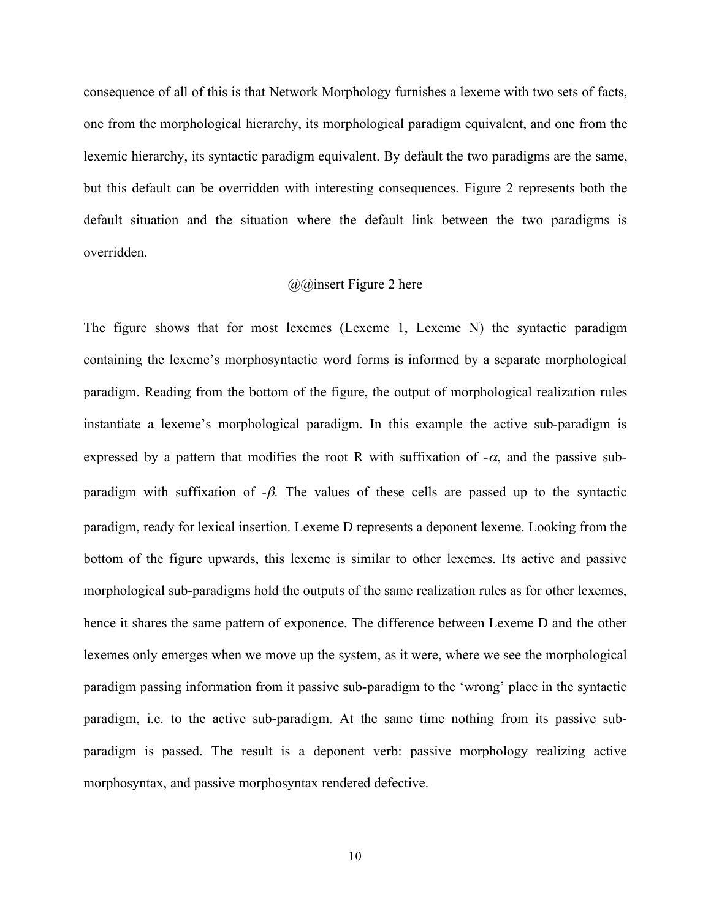consequence of all of this is that Network Morphology furnishes a lexeme with two sets of facts, one from the morphological hierarchy, its morphological paradigm equivalent, and one from the lexemic hierarchy, its syntactic paradigm equivalent. By default the two paradigms are the same, but this default can be overridden with interesting consequences. Figure 2 represents both the default situation and the situation where the default link between the two paradigms is overridden.

#### $(a)$  a insert Figure 2 here

The figure shows that for most lexemes (Lexeme 1, Lexeme N) the syntactic paradigm containing the lexeme's morphosyntactic word forms is informed by a separate morphological paradigm. Reading from the bottom of the figure, the output of morphological realization rules instantiate a lexeme's morphological paradigm. In this example the active sub-paradigm is expressed by a pattern that modifies the root R with suffixation of  $-\alpha$ , and the passive subparadigm with suffixation of *-*β. The values of these cells are passed up to the syntactic paradigm, ready for lexical insertion. Lexeme D represents a deponent lexeme. Looking from the bottom of the figure upwards, this lexeme is similar to other lexemes. Its active and passive morphological sub-paradigms hold the outputs of the same realization rules as for other lexemes, hence it shares the same pattern of exponence. The difference between Lexeme D and the other lexemes only emerges when we move up the system, as it were, where we see the morphological paradigm passing information from it passive sub-paradigm to the 'wrong' place in the syntactic paradigm, i.e. to the active sub-paradigm. At the same time nothing from its passive subparadigm is passed. The result is a deponent verb: passive morphology realizing active morphosyntax, and passive morphosyntax rendered defective.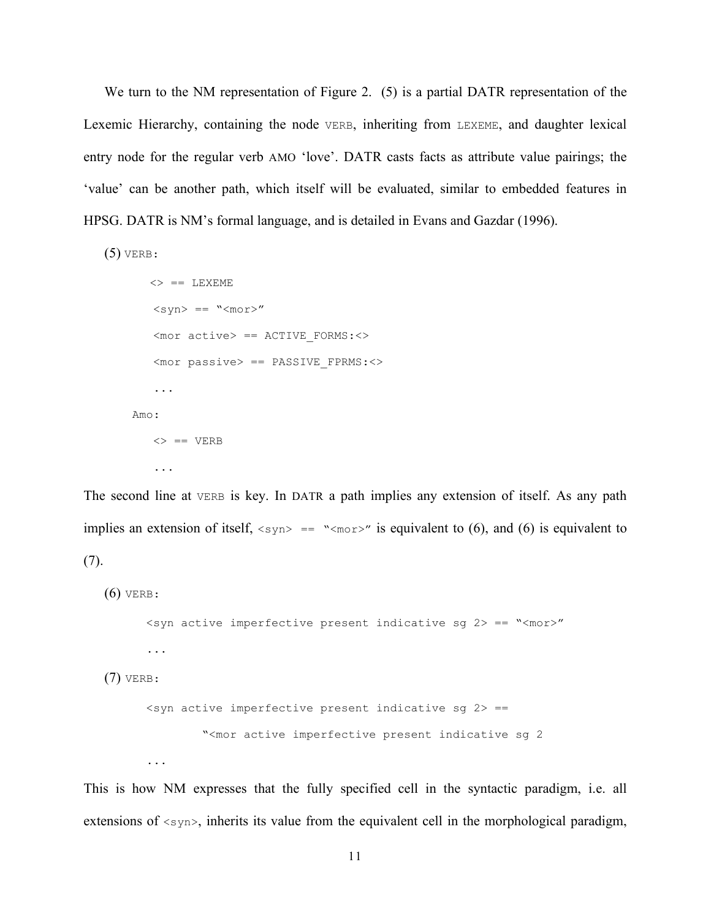We turn to the NM representation of Figure 2. (5) is a partial DATR representation of the Lexemic Hierarchy, containing the node VERB, inheriting from LEXEME, and daughter lexical entry node for the regular verb AMO 'love'. DATR casts facts as attribute value pairings; the 'value' can be another path, which itself will be evaluated, similar to embedded features in HPSG. DATR is NM's formal language, and is detailed in Evans and Gazdar (1996).

 $(5)$  VERB:

...

```
\left\langle \right\rangle == LEXEME
     <syn> == "<mor>"
     <sub>conv</sub> active> == ACTIVE FORMS:<></sub>
     <sub>conv</sub> passive> == PASSIVE FPRMS:<></sub>
      ...
Amo:
     \left\langle >\right\rangle == VERB
      ...
```
The second line at VERB is key. In DATR a path implies any extension of itself. As any path implies an extension of itself,  $\langle syn \rangle$  == " $\langle mor \rangle$ " is equivalent to (6), and (6) is equivalent to (7).

```
(6) VERB:
       \langlesyn active imperfective present indicative sg 2> == "\langlemor>"
        ...
(7) VERB:
       \langlesyn active imperfective present indicative sg 2> ==
                 "<mor active imperfective present indicative sg 2
```
This is how NM expresses that the fully specified cell in the syntactic paradigm, i.e. all extensions of  $\langle syn\rangle$ , inherits its value from the equivalent cell in the morphological paradigm,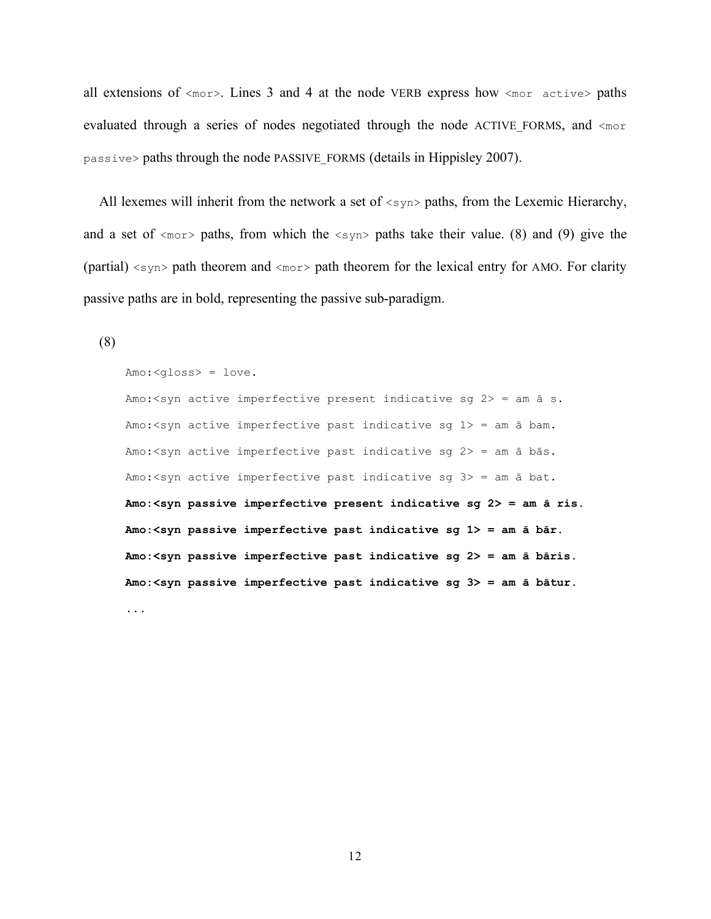all extensions of  $\langle \text{mor} \rangle$ . Lines 3 and 4 at the node VERB express how  $\langle \text{mor} \text{ active} \rangle$  paths evaluated through a series of nodes negotiated through the node ACTIVE FORMS, and  $\leq_{\text{mor}}$ passive> paths through the node PASSIVE\_FORMS (details in Hippisley 2007).

All lexemes will inherit from the network a set of  $\langle syn \rangle$  paths, from the Lexemic Hierarchy, and a set of  $\langle \text{mor} \rangle$  paths, from which the  $\langle \text{syn} \rangle$  paths take their value. (8) and (9) give the (partial)  $\langle \text{syn} \rangle$  path theorem and  $\langle \text{mor} \rangle$  path theorem for the lexical entry for AMO. For clarity passive paths are in bold, representing the passive sub-paradigm.

(8)

```
Amo:<gloss> = love.
```
Amo:  $\langle$ syn active imperfective present indicative sg  $2$  > = am  $\bar{a}$  s. Amo: <syn active imperfective past indicative sg  $1$  > = am  $\bar{a}$  bam. Amo:<syn active imperfective past indicative sg 2> = am ā bās. Amo:<syn active imperfective past indicative sg 3> = am ā bat. **Amo:<syn passive imperfective present indicative sg 2> = am ā ris. Amo:<syn passive imperfective past indicative sg 1> = am ā bār. Amo:<syn passive imperfective past indicative sg 2> = am ā bāris. Amo:<syn passive imperfective past indicative sg 3> = am ā bātur. ...**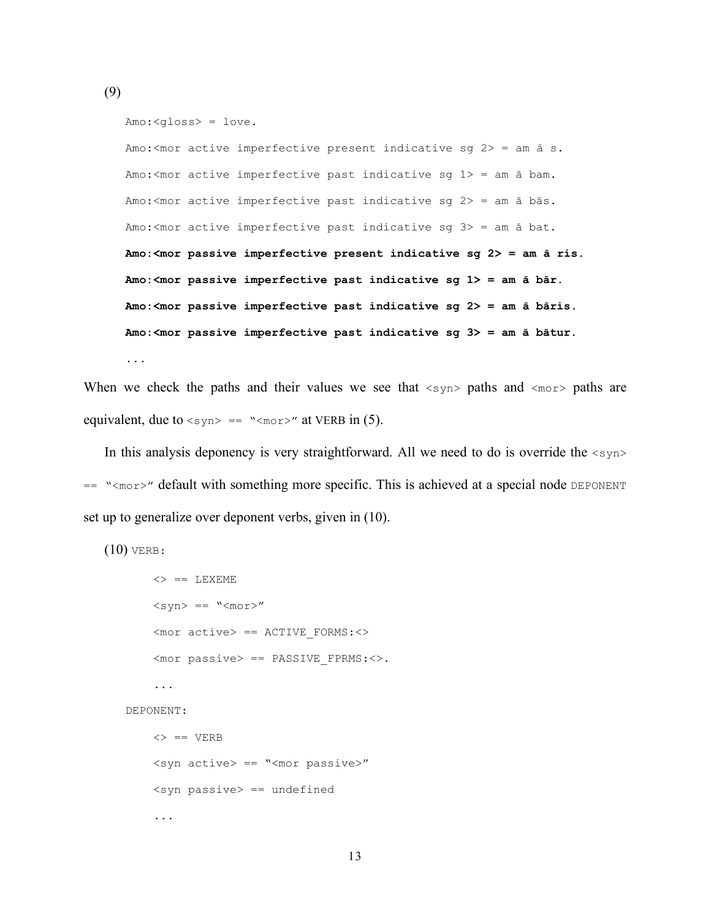```
Amo:<gloss> = love.
Amo: < mor active imperfective present indicative sg 2 > = am \bar{a} s.
Amo: < mor active imperfective past indicative sq 1 > = am \bar{a} bam.
Amo:<mor active imperfective past indicative sg 2> = am ā bās.
Amo: \leq mor active imperfective past indicative sq 3 > = am \bar{a} bat.
Amo:<mor passive imperfective present indicative sg 2> = am ā ris.
Amo:<mor passive imperfective past indicative sg 1> = am ā bār.
Amo:<mor passive imperfective past indicative sg 2> = am ā bāris.
Amo:<mor passive imperfective past indicative sg 3> = am ā bātur.
...
```
When we check the paths and their values we see that  $\langle s \rangle$  at  $\langle m \rangle$  paths are  $\langle m \rangle$  paths are equivalent, due to  $\langle \text{sym} \rangle = \text{sym} \times \text{max}$  at VERB in (5).

In this analysis deponency is very straightforward. All we need to do is override the  $\langle s_{\text{y}} \rangle$ == "<mor>" default with something more specific. This is achieved at a special node DEPONENT set up to generalize over deponent verbs, given in (10).

```
(10) VERB:
```

```
\left\langle \right\rangle == LEXEME
     <syn> == "<mor>"
     <sub>conv</sub> active> == ACTIVE FORMS:<></sub>
     <mor passive> == PASSIVE FPRMS: <>.
       ...
DEPONENT:
     \left\langle \right\rangle == VERB
      <syn active> == "<mor passive>"
      <syn passive> == undefined
       ...
```
(9)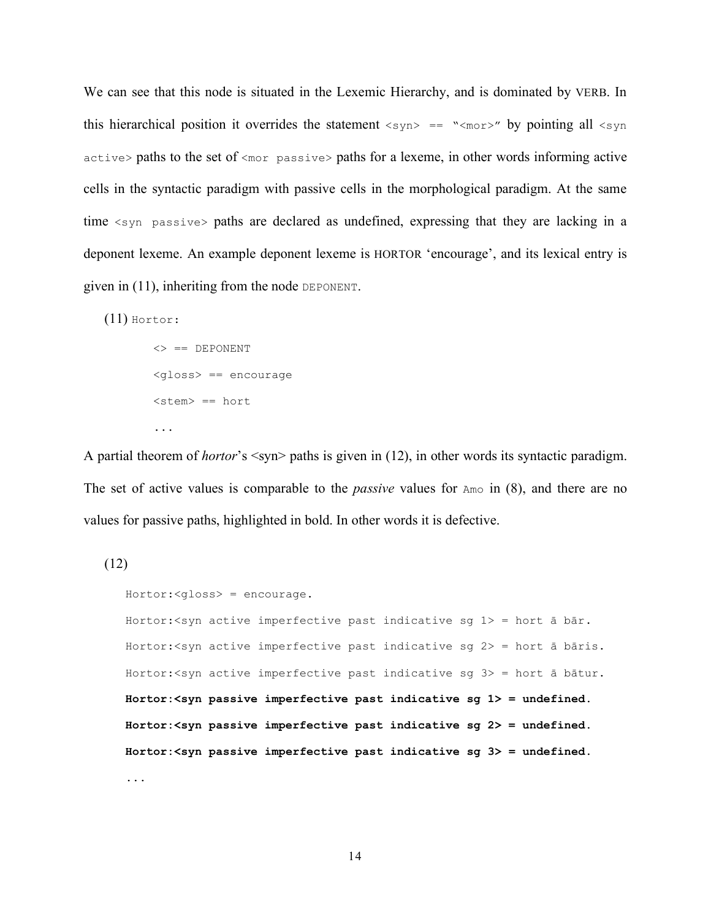We can see that this node is situated in the Lexemic Hierarchy, and is dominated by VERB. In this hierarchical position it overrides the statement  $\langle syn \rangle$  == " $\langle mor \rangle$ " by pointing all  $\langle syn \rangle$ active> paths to the set of  $\langle \text{mor} \rangle$  passive> paths for a lexeme, in other words informing active cells in the syntactic paradigm with passive cells in the morphological paradigm. At the same time <syn passive> paths are declared as undefined, expressing that they are lacking in a deponent lexeme. An example deponent lexeme is HORTOR 'encourage', and its lexical entry is given in (11), inheriting from the node DEPONENT.

(11) Hortor:

```
\left\langle \right\rangle == DEPONENT
 <gloss> == encourage
 <stem> == hort
 ...
```
A partial theorem of *hortor*'s <syn> paths is given in (12), in other words its syntactic paradigm. The set of active values is comparable to the *passive* values for Amo in (8), and there are no values for passive paths, highlighted in bold. In other words it is defective.

(12)

```
Hortor:<gloss> = encourage.
Hortor:<syn active imperfective past indicative sg 1> = hort ā bār.
Hortor:<syn active imperfective past indicative sg 2> = hort ā bāris.
Hortor:<syn active imperfective past indicative sg 3> = hort ā bātur.
Hortor:<syn passive imperfective past indicative sg 1> = undefined.
Hortor:<syn passive imperfective past indicative sg 2> = undefined.
Hortor:<syn passive imperfective past indicative sg 3> = undefined.
...
```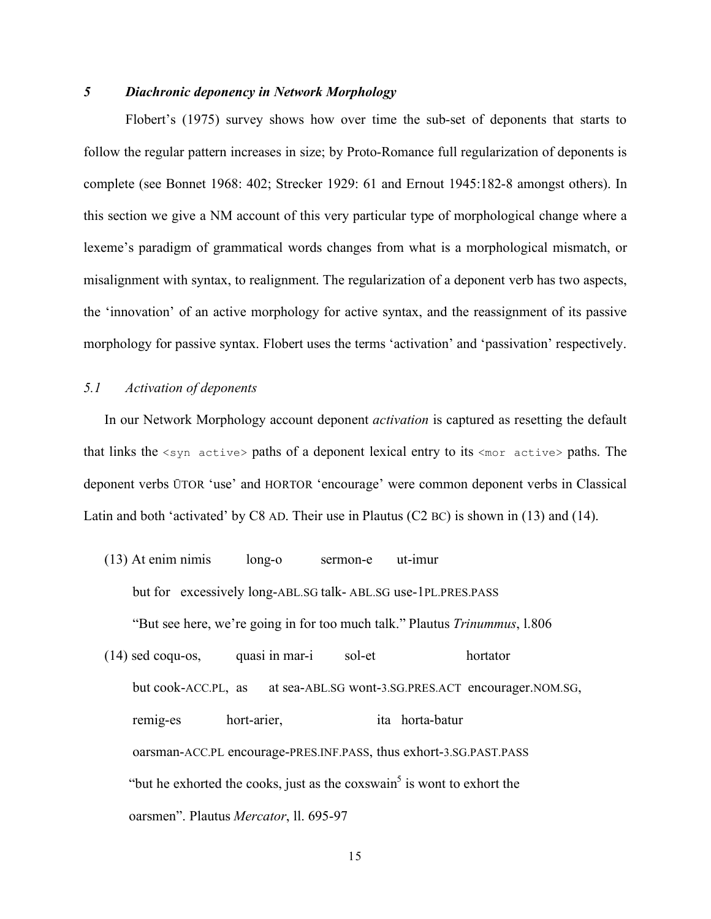## *5 Diachronic deponency in Network Morphology*

Flobert's (1975) survey shows how over time the sub-set of deponents that starts to follow the regular pattern increases in size; by Proto-Romance full regularization of deponents is complete (see Bonnet 1968: 402; Strecker 1929: 61 and Ernout 1945:182-8 amongst others). In this section we give a NM account of this very particular type of morphological change where a lexeme's paradigm of grammatical words changes from what is a morphological mismatch, or misalignment with syntax, to realignment. The regularization of a deponent verb has two aspects, the 'innovation' of an active morphology for active syntax, and the reassignment of its passive morphology for passive syntax. Flobert uses the terms 'activation' and 'passivation' respectively.

#### *5.1 Activation of deponents*

In our Network Morphology account deponent *activation* is captured as resetting the default that links the  $\langle s \rangle$  active paths of a deponent lexical entry to its  $\langle m \rangle$  active paths. The deponent verbs ŪTOR 'use' and HORTOR 'encourage' were common deponent verbs in Classical Latin and both 'activated' by C8 AD. Their use in Plautus (C2 BC) is shown in (13) and (14).

- (13) At enim nimis long-o sermon-e ut-imur but for excessively long-ABL.SG talk- ABL.SG use-1PL.PRES.PASS "But see here, we're going in for too much talk." Plautus *Trinummus*, l.806
- (14) sed coqu-os, quasi in mar-i sol-et hortator but cook-ACC.PL, as at sea-ABL.SG wont-3.SG.PRES.ACT encourager.NOM.SG, remig-es hort-arier, ita horta-batur oarsman-ACC.PL encourage-PRES.INF.PASS, thus exhort-3.SG.PAST.PASS "but he exhorted the cooks, just as the coxswain $5$  is wont to exhort the oarsmen". Plautus *Mercator*, ll. 695-97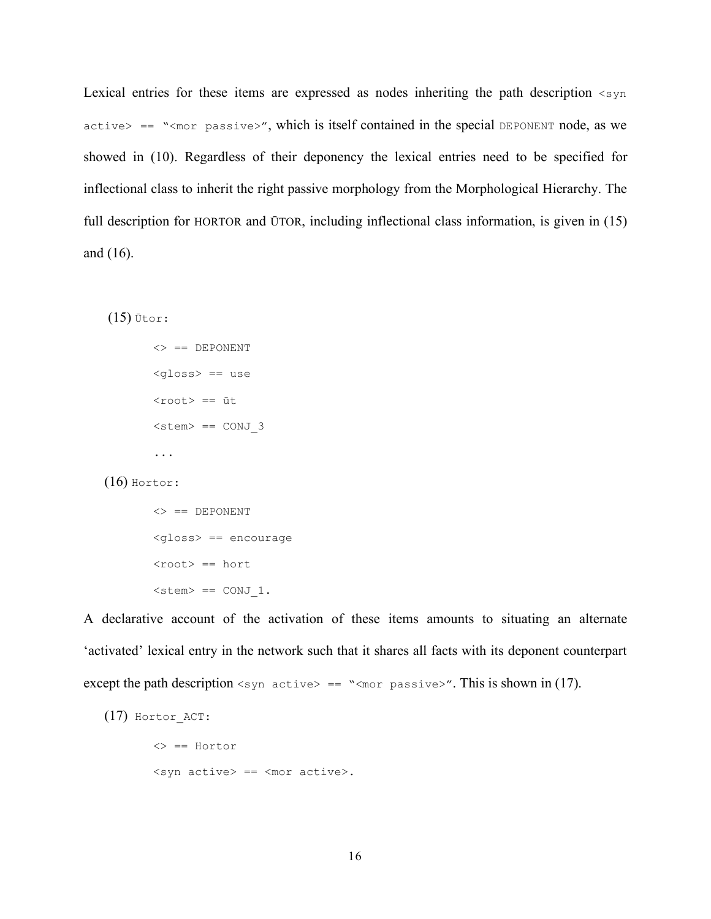Lexical entries for these items are expressed as nodes inheriting the path description  $\langle s \rangle$  $active> ==$  "<mor passive>", which is itself contained in the special DEPONENT node, as we showed in (10). Regardless of their deponency the lexical entries need to be specified for inflectional class to inherit the right passive morphology from the Morphological Hierarchy. The full description for HORTOR and ŪTOR, including inflectional class information, is given in (15) and (16).

```
(15) \bar{U}tor:
```

```
\left\langle \right\rangle == DEPONENT
 <gloss> == use
 <root> == ūt
<stem> == CONJ 3
 ...
```
(16) Hortor:

```
\langle \rangle == DEPONENT
 <gloss> == encourage
\langle root \rangle == \text{hort.}\texttt{<stem>} == \texttt{CONJ} 1.
```
A declarative account of the activation of these items amounts to situating an alternate 'activated' lexical entry in the network such that it shares all facts with its deponent counterpart except the path description  $\langle \text{syn active} \rangle = \text{maxmax}$  passive>". This is shown in (17).

```
(17) Hortor ACT:
        <> == Hortor
        <syn active> == <mor active>.
```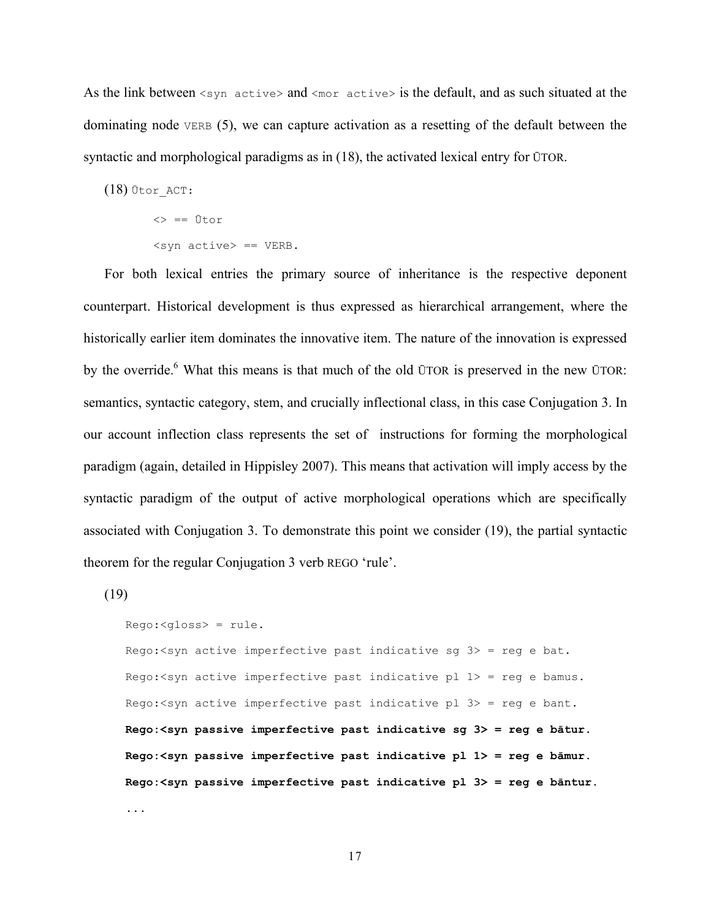As the link between  $\langle s \rangle$  actives and  $\langle m \rangle$  actives is the default, and as such situated at the dominating node  $VERB$  (5), we can capture activation as a resetting of the default between the syntactic and morphological paradigms as in (18), the activated lexical entry for ŪTOR.

```
(18) Utor ACT:
            \left\langle \right\rangle = \bar{U}tor
            \langlesyn active> == VERB.
```
For both lexical entries the primary source of inheritance is the respective deponent counterpart. Historical development is thus expressed as hierarchical arrangement, where the historically earlier item dominates the innovative item. The nature of the innovation is expressed by the override.<sup>6</sup> What this means is that much of the old ŪTOR is preserved in the new ŪTOR: semantics, syntactic category, stem, and crucially inflectional class, in this case Conjugation 3. In our account inflection class represents the set of instructions for forming the morphological paradigm (again, detailed in Hippisley 2007). This means that activation will imply access by the syntactic paradigm of the output of active morphological operations which are specifically associated with Conjugation 3. To demonstrate this point we consider (19), the partial syntactic theorem for the regular Conjugation 3 verb REGO 'rule'.

(19)

```
Rego:<gloss> = rule.
Rego:<syn active imperfective past indicative sg 3> = reg e bat.
Rego: < syn active imperfective past indicative pl 1 > = reg e bamus.
Rego: <syn active imperfective past indicative pl 3 > = reg e bant.
Rego:<syn passive imperfective past indicative sg 3> = reg e bātur.
Rego:<syn passive imperfective past indicative pl 1> = reg e bāmur.
Rego:<syn passive imperfective past indicative pl 3> = reg e bāntur.
...
```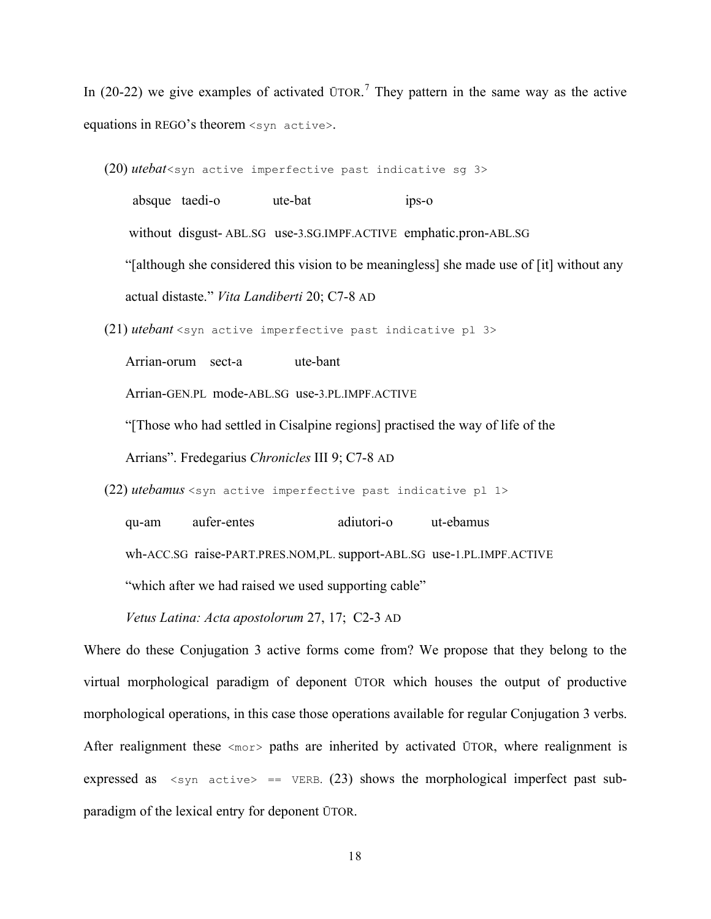In (20-22) we give examples of activated  $\overline{U}$ TOR.<sup>7</sup> They pattern in the same way as the active equations in REGO's theorem <syn active>.

(20) *utebat*<syn active imperfective past indicative sg 3>

 absque taedi-o ute-bat ips-o without disgust- ABL.SG use-3.SG.IMPF.ACTIVE emphatic.pron-ABL.SG "[although she considered this vision to be meaningless] she made use of [it] without any actual distaste." *Vita Landiberti* 20; C7-8 AD

(21) *utebant* <syn active imperfective past indicative pl 3>

Arrian-orum sect-a ute-bant

Arrian-GEN.PL mode-ABL.SG use-3.PL.IMPF.ACTIVE

"[Those who had settled in Cisalpine regions] practised the way of life of the

Arrians". Fredegarius *Chronicles* III 9; C7-8 AD

(22) *utebamus* <syn active imperfective past indicative pl 1>

qu-am aufer-entes adiutori-o ut-ebamus

wh-ACC.SG raise-PART.PRES.NOM,PL. support-ABL.SG use-1.PL.IMPF.ACTIVE

"which after we had raised we used supporting cable"

*Vetus Latina: Acta apostolorum* 27, 17; C2-3 AD

Where do these Conjugation 3 active forms come from? We propose that they belong to the virtual morphological paradigm of deponent ŪTOR which houses the output of productive morphological operations, in this case those operations available for regular Conjugation 3 verbs. After realignment these <mor> paths are inherited by activated ŪTOR, where realignment is expressed as  $\langle \text{syn} \text{ active} \rangle$  == VERB. (23) shows the morphological imperfect past subparadigm of the lexical entry for deponent ŪTOR.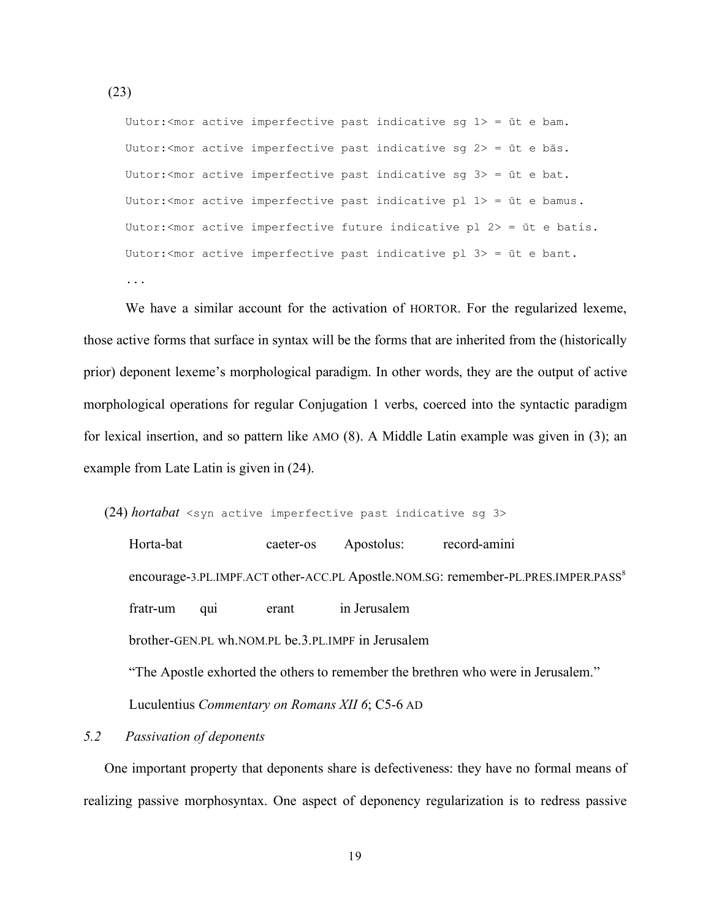Uutor:<mor active imperfective past indicative sq  $1$  > = ūt e bam. Uutor:<mor active imperfective past indicative sq  $2$  > = ūt e bās. Uutor:<mor active imperfective past indicative sq  $3$  > =  $\bar{u}t$  e bat. Uutor:<mor active imperfective past indicative pl 1> = ūt e bamus. Uutor:<mor active imperfective future indicative pl  $2$  > = ūt e batis. Uutor:<mor active imperfective past indicative pl  $3$ > = ūt e bant. ...

We have a similar account for the activation of HORTOR. For the regularized lexeme, those active forms that surface in syntax will be the forms that are inherited from the (historically prior) deponent lexeme's morphological paradigm. In other words, they are the output of active morphological operations for regular Conjugation 1 verbs, coerced into the syntactic paradigm for lexical insertion, and so pattern like AMO (8). A Middle Latin example was given in (3); an example from Late Latin is given in (24).

(24) *hortabat* <syn active imperfective past indicative sg 3>

 Horta-bat caeter-os Apostolus: record-amini encourage-3.PL.IMPF.ACT other-ACC.PL Apostle.NOM.SG: remember-PL.PRES.IMPER.PASS<sup>8</sup> fratr-um qui erant in Jerusalem brother-GEN.PL wh.NOM.PL be.3.PL.IMPF in Jerusalem "The Apostle exhorted the others to remember the brethren who were in Jerusalem." Luculentius *Commentary on Romans XII 6*; C5-6 AD

# *5.2 Passivation of deponents*

One important property that deponents share is defectiveness: they have no formal means of realizing passive morphosyntax. One aspect of deponency regularization is to redress passive

(23)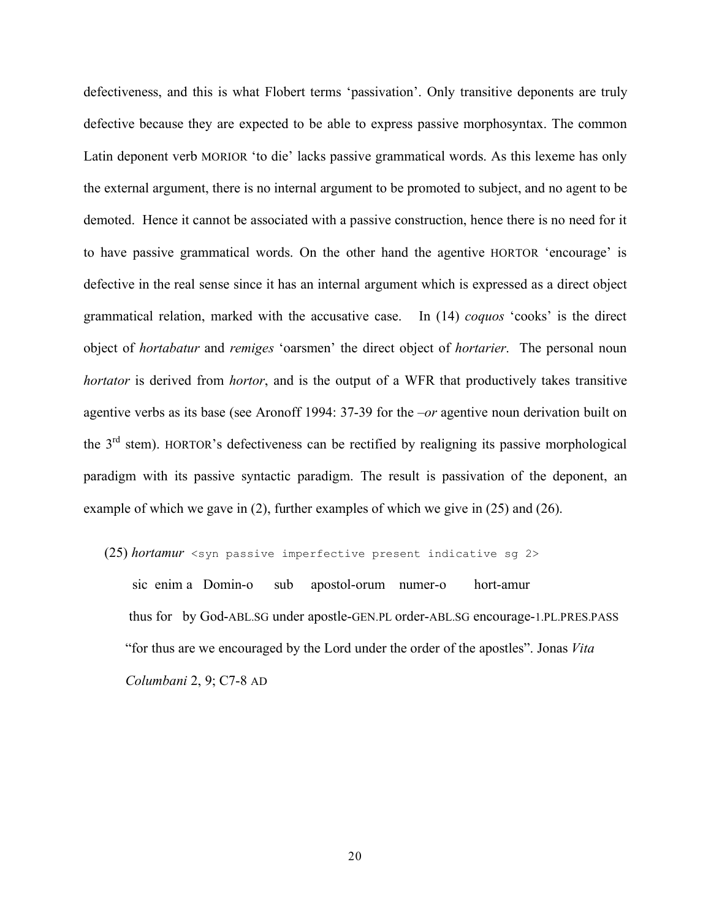defectiveness, and this is what Flobert terms 'passivation'. Only transitive deponents are truly defective because they are expected to be able to express passive morphosyntax. The common Latin deponent verb MORIOR 'to die' lacks passive grammatical words. As this lexeme has only the external argument, there is no internal argument to be promoted to subject, and no agent to be demoted. Hence it cannot be associated with a passive construction, hence there is no need for it to have passive grammatical words. On the other hand the agentive HORTOR 'encourage' is defective in the real sense since it has an internal argument which is expressed as a direct object grammatical relation, marked with the accusative case. In (14) *coquos* 'cooks' is the direct object of *hortabatur* and *remiges* 'oarsmen' the direct object of *hortarier*. The personal noun *hortator* is derived from *hortor*, and is the output of a WFR that productively takes transitive agentive verbs as its base (see Aronoff 1994: 37-39 for the *–or* agentive noun derivation built on the  $3<sup>rd</sup>$  stem). HORTOR's defectiveness can be rectified by realigning its passive morphological paradigm with its passive syntactic paradigm. The result is passivation of the deponent, an example of which we gave in (2), further examples of which we give in (25) and (26).

(25) *hortamur* <syn passive imperfective present indicative sg 2>

sic enim a Domin-o sub apostol-orum numer-o hort-amur thus for by God-ABL.SG under apostle-GEN.PL order-ABL.SG encourage-1.PL.PRES.PASS "for thus are we encouraged by the Lord under the order of the apostles". Jonas *Vita Columbani* 2, 9; C7-8 AD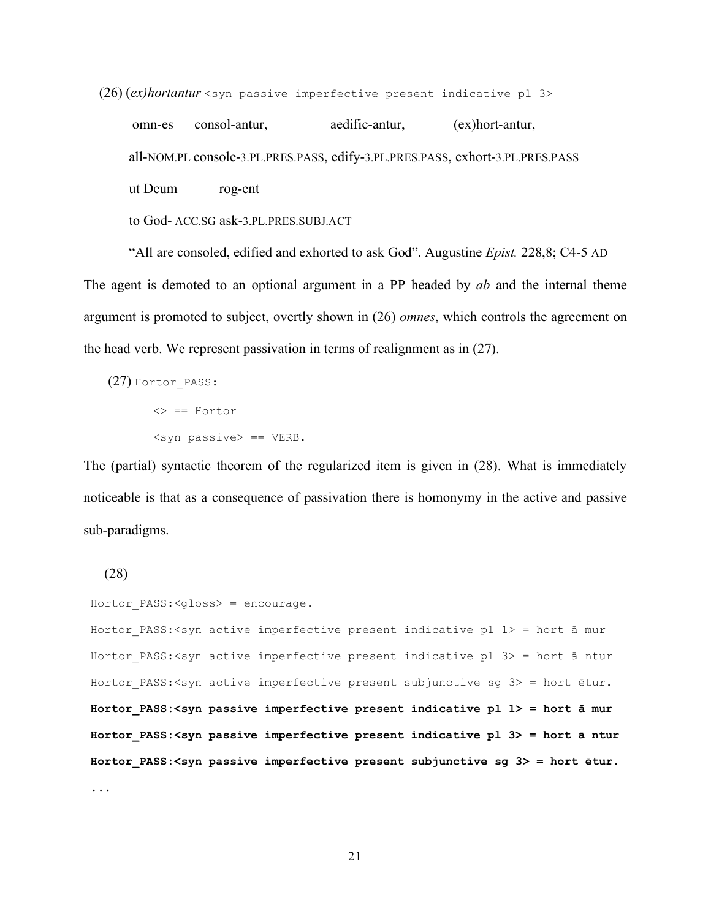(26) (*ex)hortantur* <syn passive imperfective present indicative pl 3> omn-es consol-antur, aedific-antur, (ex)hort-antur, all-NOM.PL console-3.PL.PRES.PASS, edify-3.PL.PRES.PASS, exhort-3.PL.PRES.PASS ut Deum rog-ent

to God- ACC.SG ask-3.PL.PRES.SUBJ.ACT

 "All are consoled, edified and exhorted to ask God". Augustine *Epist.* 228,8; C4-5 AD The agent is demoted to an optional argument in a PP headed by *ab* and the internal theme argument is promoted to subject, overtly shown in (26) *omnes*, which controls the agreement on the head verb. We represent passivation in terms of realignment as in (27).

```
 (27) Hortor_PASS:
        \langle \rangle == Hortor
        <syn passive> == VERB.
```
The (partial) syntactic theorem of the regularized item is given in (28). What is immediately noticeable is that as a consequence of passivation there is homonymy in the active and passive sub-paradigms.

#### (28)

 Hortor\_PASS:<gloss> = encourage. Hortor PASS:<syn active imperfective present indicative pl 1> = hort ā mur Hortor PASS:<syn active imperfective present indicative pl 3> = hort ā ntur Hortor PASS:<syn active imperfective present subjunctive sg 3> = hort ētur.  **Hortor\_PASS:<syn passive imperfective present indicative pl 1> = hort ā mur Hortor\_PASS:<syn passive imperfective present indicative pl 3> = hort ā ntur Hortor\_PASS:<syn passive imperfective present subjunctive sg 3> = hort ētur.** ...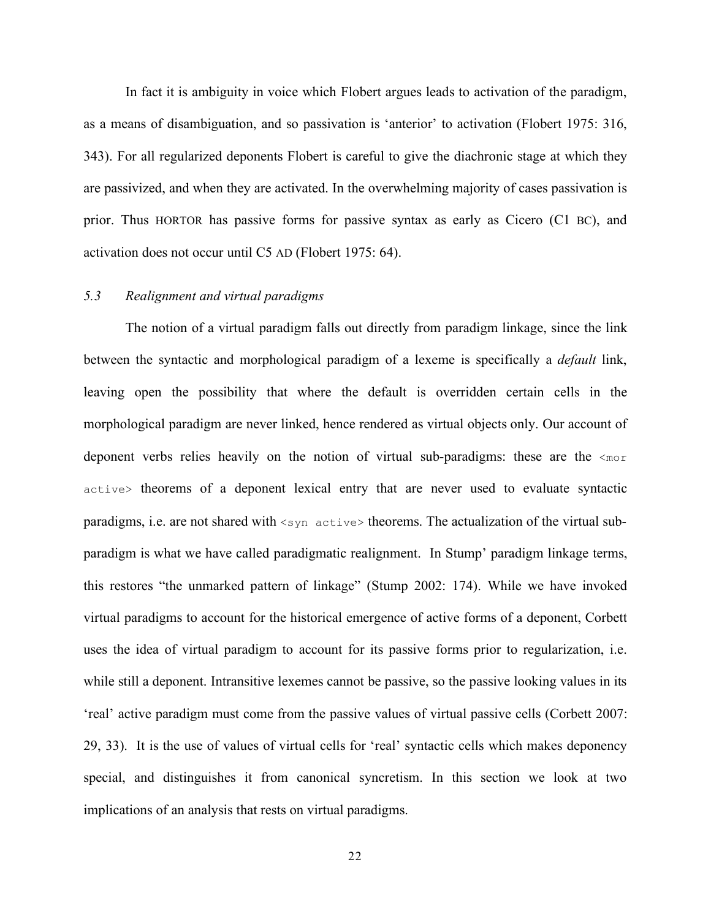In fact it is ambiguity in voice which Flobert argues leads to activation of the paradigm, as a means of disambiguation, and so passivation is 'anterior' to activation (Flobert 1975: 316, 343). For all regularized deponents Flobert is careful to give the diachronic stage at which they are passivized, and when they are activated. In the overwhelming majority of cases passivation is prior. Thus HORTOR has passive forms for passive syntax as early as Cicero (C1 BC), and activation does not occur until C5 AD (Flobert 1975: 64).

#### *5.3 Realignment and virtual paradigms*

The notion of a virtual paradigm falls out directly from paradigm linkage, since the link between the syntactic and morphological paradigm of a lexeme is specifically a *default* link, leaving open the possibility that where the default is overridden certain cells in the morphological paradigm are never linked, hence rendered as virtual objects only. Our account of deponent verbs relies heavily on the notion of virtual sub-paradigms: these are the <mor active> theorems of a deponent lexical entry that are never used to evaluate syntactic paradigms, i.e. are not shared with <syn active> theorems. The actualization of the virtual subparadigm is what we have called paradigmatic realignment. In Stump' paradigm linkage terms, this restores "the unmarked pattern of linkage" (Stump 2002: 174). While we have invoked virtual paradigms to account for the historical emergence of active forms of a deponent, Corbett uses the idea of virtual paradigm to account for its passive forms prior to regularization, i.e. while still a deponent. Intransitive lexemes cannot be passive, so the passive looking values in its 'real' active paradigm must come from the passive values of virtual passive cells (Corbett 2007: 29, 33). It is the use of values of virtual cells for 'real' syntactic cells which makes deponency special, and distinguishes it from canonical syncretism. In this section we look at two implications of an analysis that rests on virtual paradigms.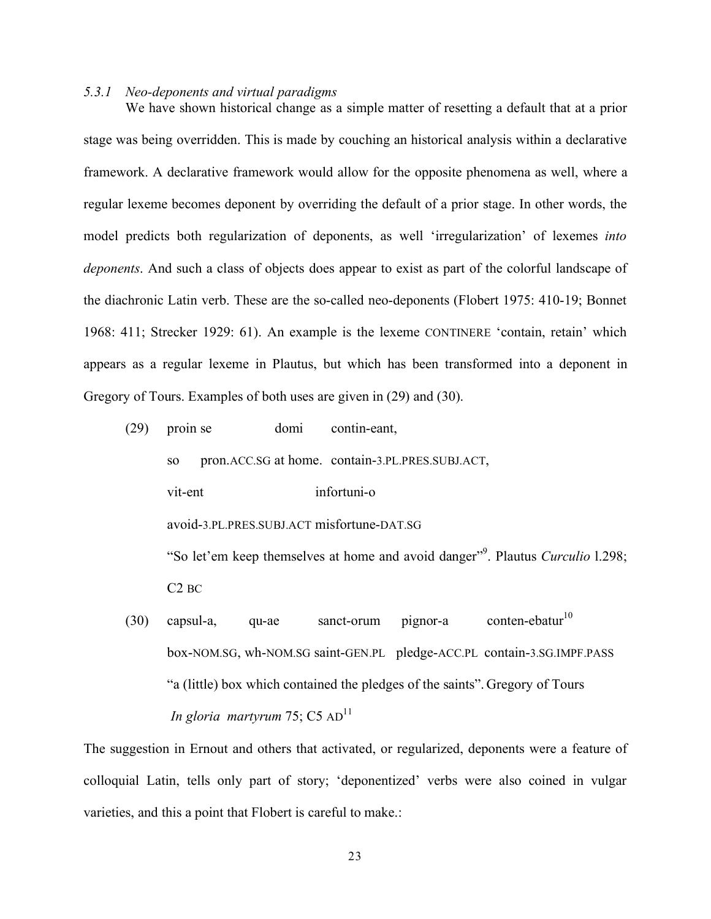#### *5.3.1 Neo-deponents and virtual paradigms*

We have shown historical change as a simple matter of resetting a default that at a prior stage was being overridden. This is made by couching an historical analysis within a declarative framework. A declarative framework would allow for the opposite phenomena as well, where a regular lexeme becomes deponent by overriding the default of a prior stage. In other words, the model predicts both regularization of deponents, as well 'irregularization' of lexemes *into deponents*. And such a class of objects does appear to exist as part of the colorful landscape of the diachronic Latin verb. These are the so-called neo-deponents (Flobert 1975: 410-19; Bonnet 1968: 411; Strecker 1929: 61). An example is the lexeme CONTINERE 'contain, retain' which appears as a regular lexeme in Plautus, but which has been transformed into a deponent in Gregory of Tours. Examples of both uses are given in (29) and (30).

- (29) proin se domi contin-eant, so pron.ACC.SG at home. contain-3.PL.PRES.SUBJ.ACT, vit-ent infortuni-o avoid-3.PL.PRES.SUBJ.ACT misfortune-DAT.SG "So let'em keep themselves at home and avoid danger"9 . Plautus *Curculio* l.298; C2 BC
- (30) capsul-a, qu-ae sanct-orum pignor-a conten-ebatur<sup>10</sup> box-NOM.SG, wh-NOM.SG saint-GEN.PL pledge-ACC.PL contain-3.SG.IMPF.PASS "a (little) box which contained the pledges of the saints". Gregory of Tours *In gloria martyrum*  $75: C5 AD<sup>11</sup>$

The suggestion in Ernout and others that activated, or regularized, deponents were a feature of colloquial Latin, tells only part of story; 'deponentized' verbs were also coined in vulgar varieties, and this a point that Flobert is careful to make.: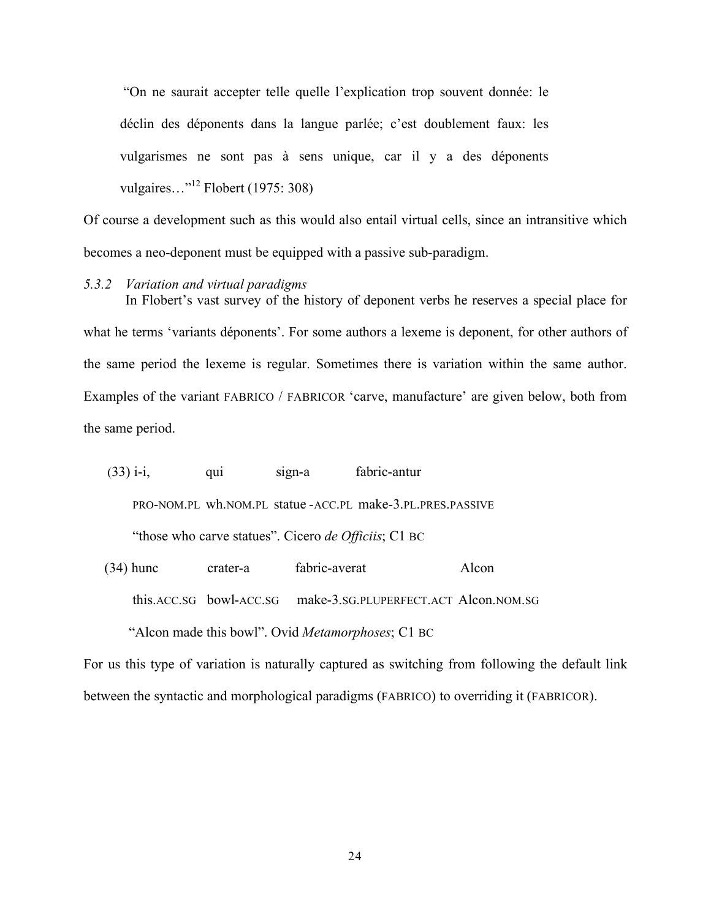"On ne saurait accepter telle quelle l'explication trop souvent donnée: le déclin des déponents dans la langue parlée; c'est doublement faux: les vulgarismes ne sont pas à sens unique, car il y a des déponents vulgaires…"12 Flobert (1975: 308)

Of course a development such as this would also entail virtual cells, since an intransitive which becomes a neo-deponent must be equipped with a passive sub-paradigm.

*5.3.2 Variation and virtual paradigms* In Flobert's vast survey of the history of deponent verbs he reserves a special place for what he terms 'variants déponents'. For some authors a lexeme is deponent, for other authors of the same period the lexeme is regular. Sometimes there is variation within the same author. Examples of the variant FABRICO / FABRICOR 'carve, manufacture' are given below, both from the same period.

 (33) i-i, qui sign-a fabric-antur PRO-NOM.PL wh.NOM.PL statue -ACC.PL make-3.PL.PRES.PASSIVE "those who carve statues". Cicero *de Officiis*; C1 BC

(34) hunc crater-a fabric-averat Alcon this.ACC.SG bowl-ACC.SG make-3.SG.PLUPERFECT.ACT Alcon.NOM.SG "Alcon made this bowl". Ovid *Metamorphoses*; C1 BC

For us this type of variation is naturally captured as switching from following the default link between the syntactic and morphological paradigms (FABRICO) to overriding it (FABRICOR).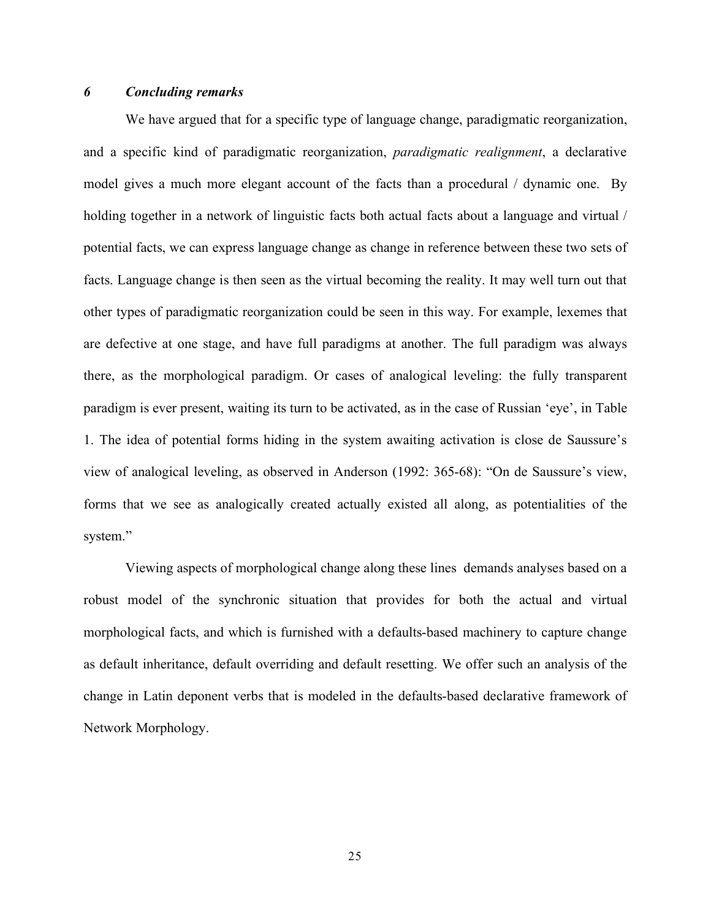#### *6 Concluding remarks*

We have argued that for a specific type of language change, paradigmatic reorganization, and a specific kind of paradigmatic reorganization, *paradigmatic realignment*, a declarative model gives a much more elegant account of the facts than a procedural / dynamic one. By holding together in a network of linguistic facts both actual facts about a language and virtual / potential facts, we can express language change as change in reference between these two sets of facts. Language change is then seen as the virtual becoming the reality. It may well turn out that other types of paradigmatic reorganization could be seen in this way. For example, lexemes that are defective at one stage, and have full paradigms at another. The full paradigm was always there, as the morphological paradigm. Or cases of analogical leveling: the fully transparent paradigm is ever present, waiting its turn to be activated, as in the case of Russian 'eye', in Table 1. The idea of potential forms hiding in the system awaiting activation is close de Saussure's view of analogical leveling, as observed in Anderson (1992: 365-68): "On de Saussure's view, forms that we see as analogically created actually existed all along, as potentialities of the system."

Viewing aspects of morphological change along these lines demands analyses based on a robust model of the synchronic situation that provides for both the actual and virtual morphological facts, and which is furnished with a defaults-based machinery to capture change as default inheritance, default overriding and default resetting. We offer such an analysis of the change in Latin deponent verbs that is modeled in the defaults-based declarative framework of Network Morphology.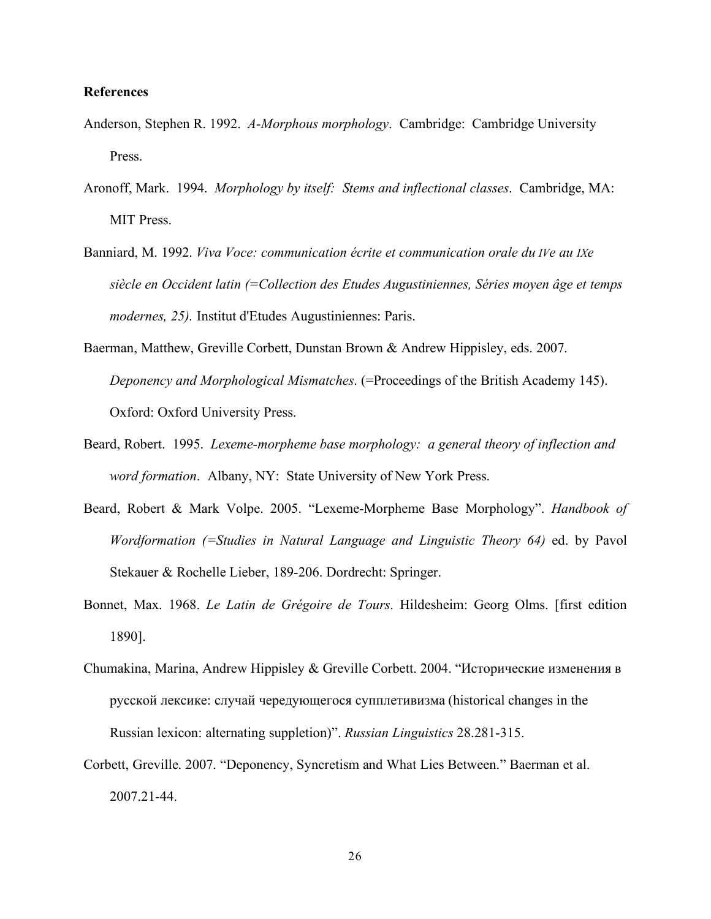#### **References**

- Anderson, Stephen R. 1992. *A-Morphous morphology*. Cambridge: Cambridge University Press.
- Aronoff, Mark. 1994. *Morphology by itself: Stems and inflectional classes*. Cambridge, MA: MIT Press.
- Banniard, M. 1992. *Viva Voce: communication écrite et communication orale du IVe au IXe siècle en Occident latin (=Collection des Etudes Augustiniennes, Séries moyen âge et temps modernes, 25).* Institut d'Etudes Augustiniennes: Paris.
- Baerman, Matthew, Greville Corbett, Dunstan Brown & Andrew Hippisley, eds. 2007. *Deponency and Morphological Mismatches*. (=Proceedings of the British Academy 145). Oxford: Oxford University Press.
- Beard, Robert. 1995. *Lexeme-morpheme base morphology: a general theory of inflection and word formation*. Albany, NY: State University of New York Press.
- Beard, Robert & Mark Volpe. 2005. "Lexeme-Morpheme Base Morphology". *Handbook of Wordformation (=Studies in Natural Language and Linguistic Theory 64)* ed. by Pavol Stekauer & Rochelle Lieber, 189-206. Dordrecht: Springer.
- Bonnet, Max. 1968. *Le Latin de Grégoire de Tours*. Hildesheim: Georg Olms. [first edition 1890].
- Chumakina, Marina, Andrew Hippisley & Greville Corbett. 2004. "Исторические изменения в русской лексике: случай чередующегося супплетивизма (historical changes in the Russian lexicon: alternating suppletion)". *Russian Linguistics* 28.281-315.
- Corbett, Greville. 2007. "Deponency, Syncretism and What Lies Between." Baerman et al. 2007.21-44.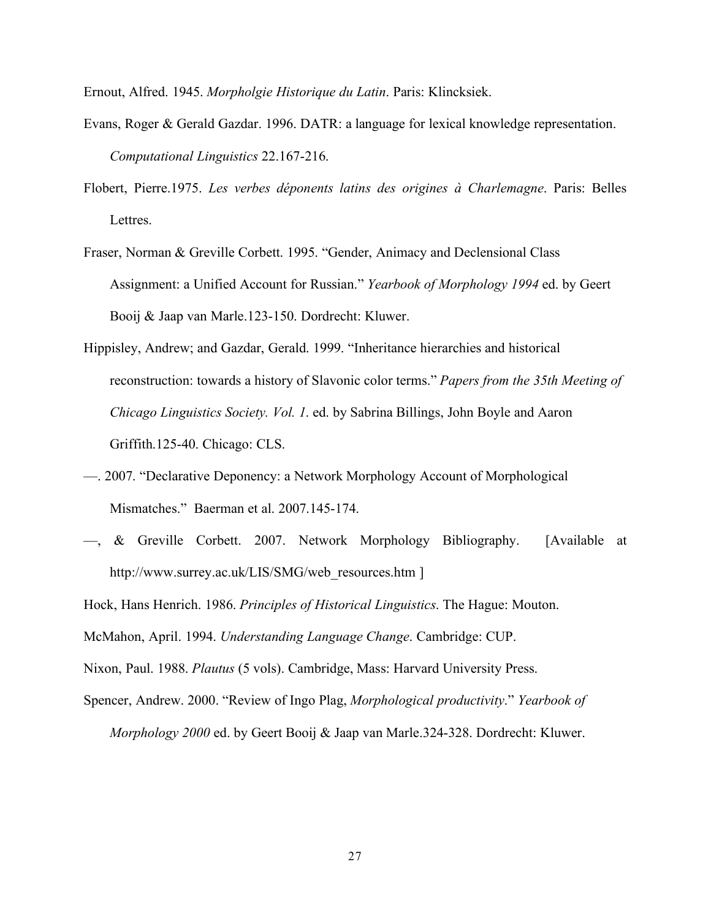Ernout, Alfred. 1945. *Morpholgie Historique du Latin*. Paris: Klincksiek.

- Evans, Roger & Gerald Gazdar. 1996. DATR: a language for lexical knowledge representation. *Computational Linguistics* 22.167-216.
- Flobert, Pierre.1975. *Les verbes déponents latins des origines à Charlemagne*. Paris: Belles Lettres.
- Fraser, Norman & Greville Corbett. 1995. "Gender, Animacy and Declensional Class Assignment: a Unified Account for Russian." *Yearbook of Morphology 1994* ed. by Geert Booij & Jaap van Marle.123-150. Dordrecht: Kluwer.
- Hippisley, Andrew; and Gazdar, Gerald. 1999. "Inheritance hierarchies and historical reconstruction: towards a history of Slavonic color terms." *Papers from the 35th Meeting of Chicago Linguistics Society. Vol. 1*. ed. by Sabrina Billings, John Boyle and Aaron Griffith.125-40. Chicago: CLS.
- —. 2007. "Declarative Deponency: a Network Morphology Account of Morphological Mismatches." Baerman et al. 2007.145-174.
- —, & Greville Corbett. 2007. Network Morphology Bibliography. [Available at http://www.surrey.ac.uk/LIS/SMG/web\_resources.htm ]

Hock, Hans Henrich. 1986. *Principles of Historical Linguistics*. The Hague: Mouton.

McMahon, April. 1994. *Understanding Language Change*. Cambridge: CUP.

Nixon, Paul. 1988. *Plautus* (5 vols). Cambridge, Mass: Harvard University Press.

Spencer, Andrew. 2000. "Review of Ingo Plag, *Morphological productivity*." *Yearbook of Morphology 2000* ed. by Geert Booij & Jaap van Marle.324-328. Dordrecht: Kluwer.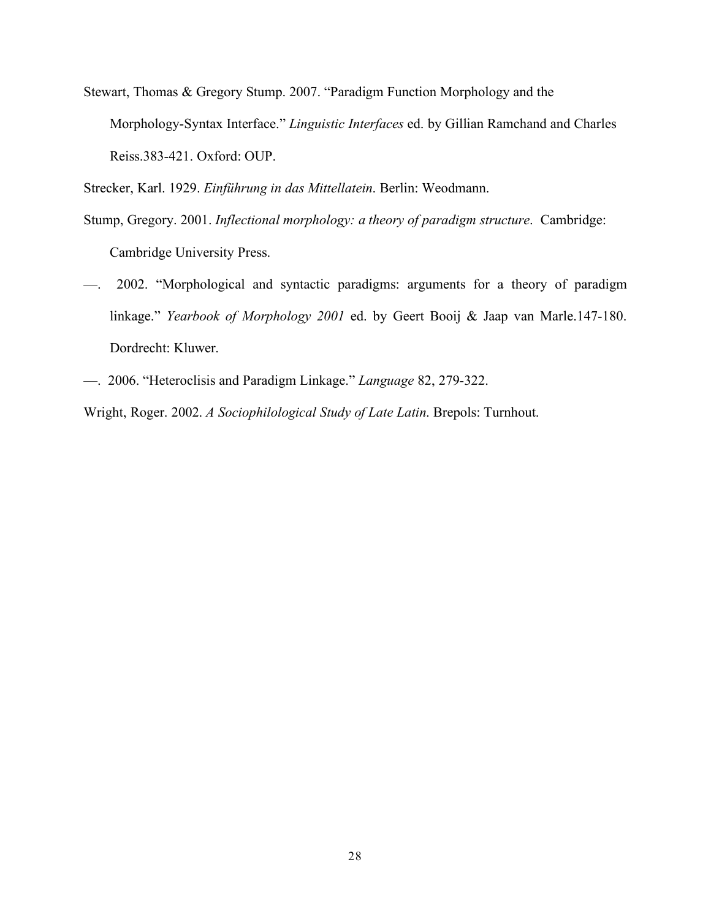Stewart, Thomas & Gregory Stump. 2007. "Paradigm Function Morphology and the Morphology-Syntax Interface." *Linguistic Interfaces* ed. by Gillian Ramchand and Charles Reiss.383-421. Oxford: OUP.

Strecker, Karl. 1929. *Einführung in das Mittellatein*. Berlin: Weodmann.

- Stump, Gregory. 2001. *Inflectional morphology: a theory of paradigm structure*. Cambridge: Cambridge University Press.
- —. 2002. "Morphological and syntactic paradigms: arguments for a theory of paradigm linkage." *Yearbook of Morphology 2001* ed. by Geert Booij & Jaap van Marle.147-180. Dordrecht: Kluwer.
- —. 2006. "Heteroclisis and Paradigm Linkage." *Language* 82, 279-322.
- Wright, Roger. 2002. *A Sociophilological Study of Late Latin*. Brepols: Turnhout.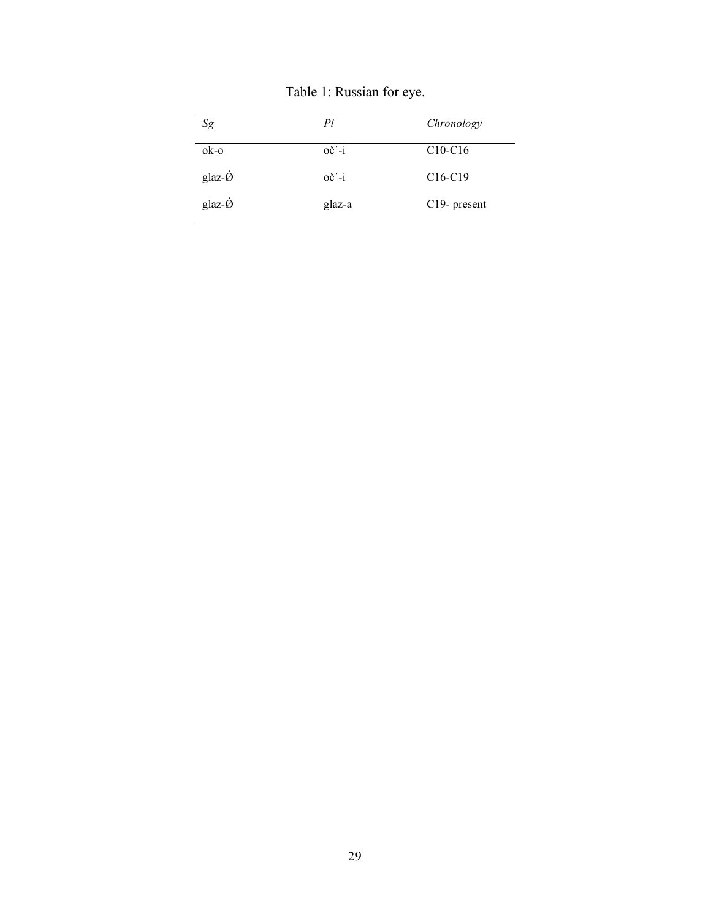Table 1: Russian for eye.

| Sg              | Pl              | Chronology      |
|-----------------|-----------------|-----------------|
| $ok-o$          | $o\check{c}'-i$ | $C10-C16$       |
| glaz- $\hat{Q}$ | $o\check{c}'-i$ | $C16-C19$       |
| glaz- $\hat{Q}$ | glaz-a          | $C19$ - present |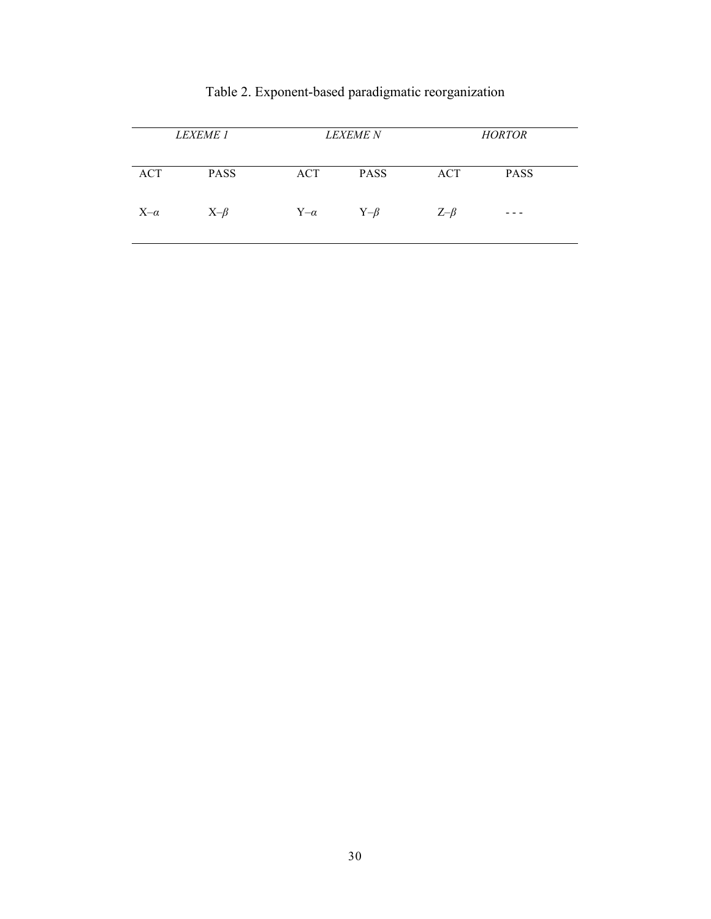|            | <b>LEXEME 1</b> |            | <b>LEXEME</b> N | <b>HORTOR</b> |             |  |
|------------|-----------------|------------|-----------------|---------------|-------------|--|
| <b>ACT</b> | <b>PASS</b>     | ACT        | <b>PASS</b>     | ACT           | <b>PASS</b> |  |
| $X-\alpha$ | $X-\beta$       | $Y-\alpha$ | $Y-\beta$       | $Z-\beta$     |             |  |

Table 2. Exponent-based paradigmatic reorganization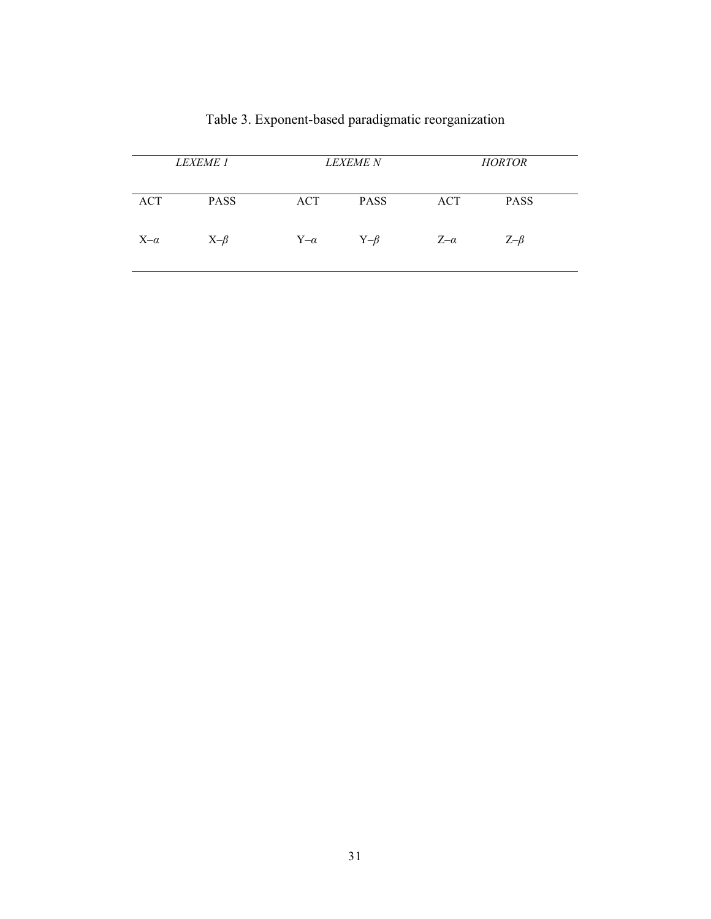| <b>LEXEME 1</b> |             |            | <b>LEXEME</b> N |            | <b>HORTOR</b> |  |  |
|-----------------|-------------|------------|-----------------|------------|---------------|--|--|
| <b>ACT</b>      | <b>PASS</b> | ACT        | <b>PASS</b>     | <b>ACT</b> | <b>PASS</b>   |  |  |
| $X-\alpha$      | $X-\beta$   | $Y-\alpha$ | $Y-\beta$       | $Z-\alpha$ | $Z-\beta$     |  |  |

Table 3. Exponent-based paradigmatic reorganization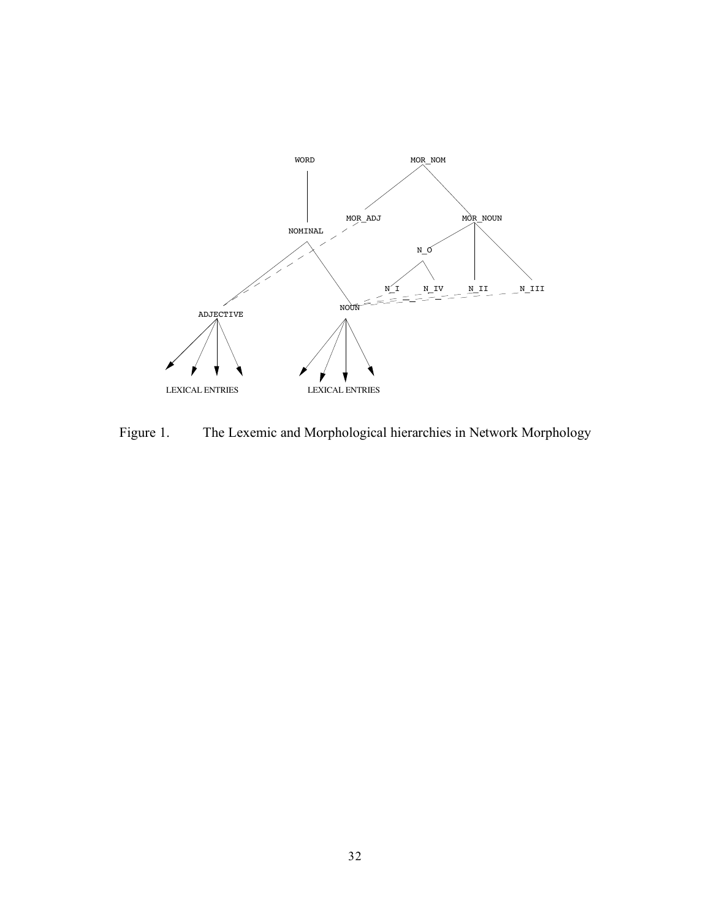

Figure 1. The Lexemic and Morphological hierarchies in Network Morphology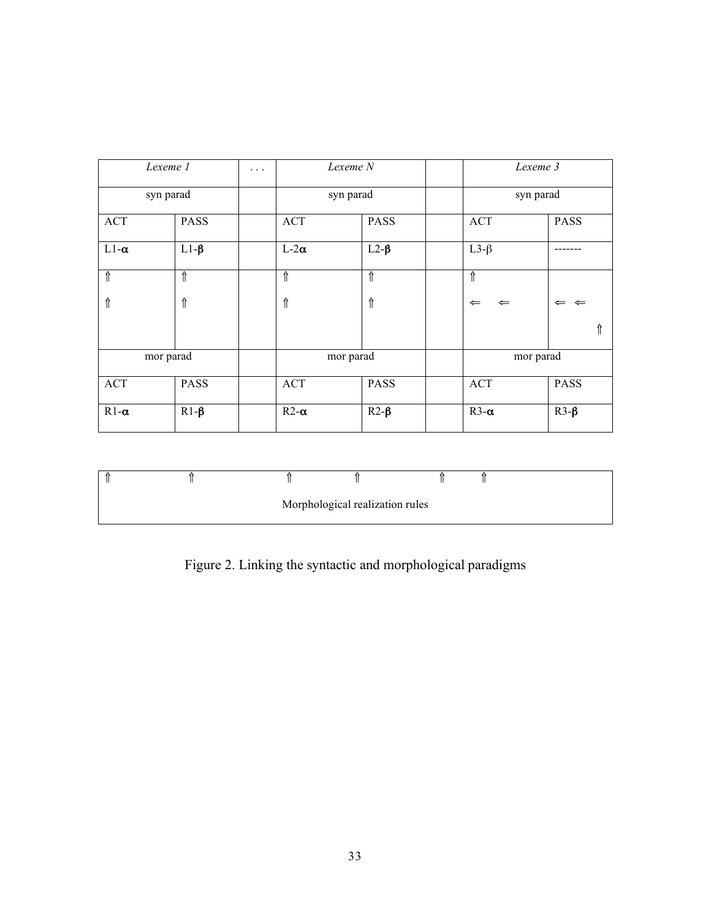|                    | Lexeme 1    | $\cdots$ | Lexeme N    |             | Lexeme 3                     |              |
|--------------------|-------------|----------|-------------|-------------|------------------------------|--------------|
|                    | syn parad   |          |             | syn parad   | syn parad                    |              |
| <b>ACT</b>         | <b>PASS</b> |          | ACT         | <b>PASS</b> | <b>ACT</b>                   | <b>PASS</b>  |
| $L1-\alpha$        | $L1-\beta$  |          | $L-2\alpha$ | $L2-\beta$  | $L3-\beta$                   |              |
| $\hat{\mathbb{I}}$ | ⇑           |          | ⇑           | ⇑           | ⇑                            |              |
| ⇑                  | ⇑           |          | ⇑           | ⇑           | $\Leftarrow$<br>$\Leftarrow$ | $\Leftarrow$ |
|                    |             |          |             |             |                              | ⇑            |
|                    | mor parad   |          | mor parad   |             | mor parad                    |              |
| <b>ACT</b>         | <b>PASS</b> |          | ACT         | <b>PASS</b> | <b>ACT</b>                   | <b>PASS</b>  |
| $R1-\alpha$        | $R1-\beta$  |          | $R2-\alpha$ | $R2-\beta$  | $R3-\alpha$                  | $R3-\beta$   |

|  | Morphological realization rules |  |  |
|--|---------------------------------|--|--|

Figure 2. Linking the syntactic and morphological paradigms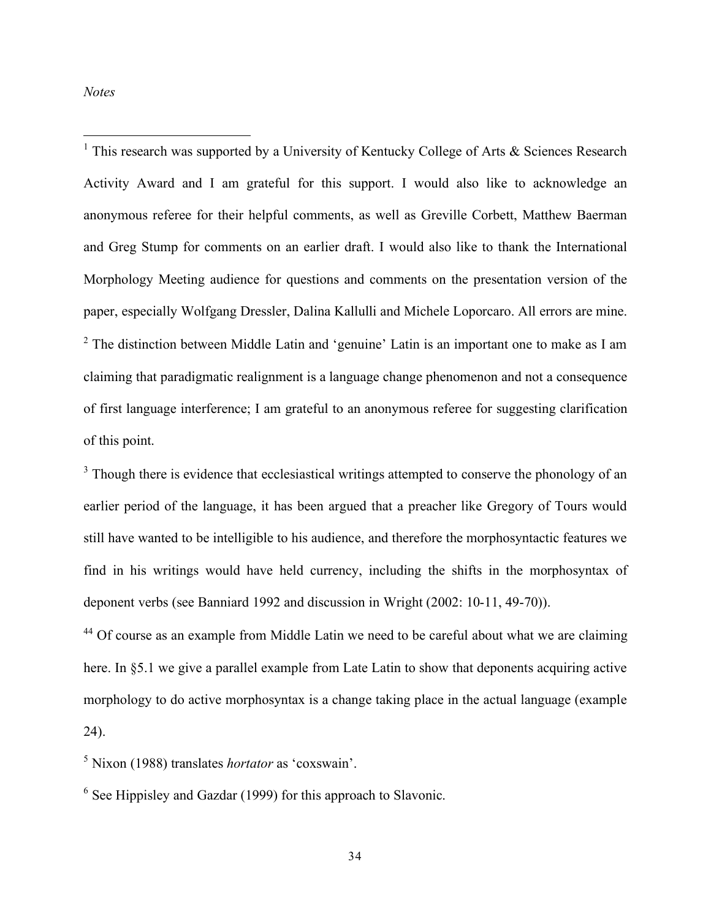#### *Notes*

 $\frac{1}{1}$ <sup>1</sup> This research was supported by a University of Kentucky College of Arts  $\&$  Sciences Research Activity Award and I am grateful for this support. I would also like to acknowledge an anonymous referee for their helpful comments, as well as Greville Corbett, Matthew Baerman and Greg Stump for comments on an earlier draft. I would also like to thank the International Morphology Meeting audience for questions and comments on the presentation version of the paper, especially Wolfgang Dressler, Dalina Kallulli and Michele Loporcaro. All errors are mine.  $2$  The distinction between Middle Latin and 'genuine' Latin is an important one to make as I am claiming that paradigmatic realignment is a language change phenomenon and not a consequence of first language interference; I am grateful to an anonymous referee for suggesting clarification of this point.

<sup>3</sup> Though there is evidence that ecclesiastical writings attempted to conserve the phonology of an earlier period of the language, it has been argued that a preacher like Gregory of Tours would still have wanted to be intelligible to his audience, and therefore the morphosyntactic features we find in his writings would have held currency, including the shifts in the morphosyntax of deponent verbs (see Banniard 1992 and discussion in Wright (2002: 10-11, 49-70)).

<sup>44</sup> Of course as an example from Middle Latin we need to be careful about what we are claiming here. In §5.1 we give a parallel example from Late Latin to show that deponents acquiring active morphology to do active morphosyntax is a change taking place in the actual language (example 24).

5 Nixon (1988) translates *hortator* as 'coxswain'.

 $6$  See Hippisley and Gazdar (1999) for this approach to Slavonic.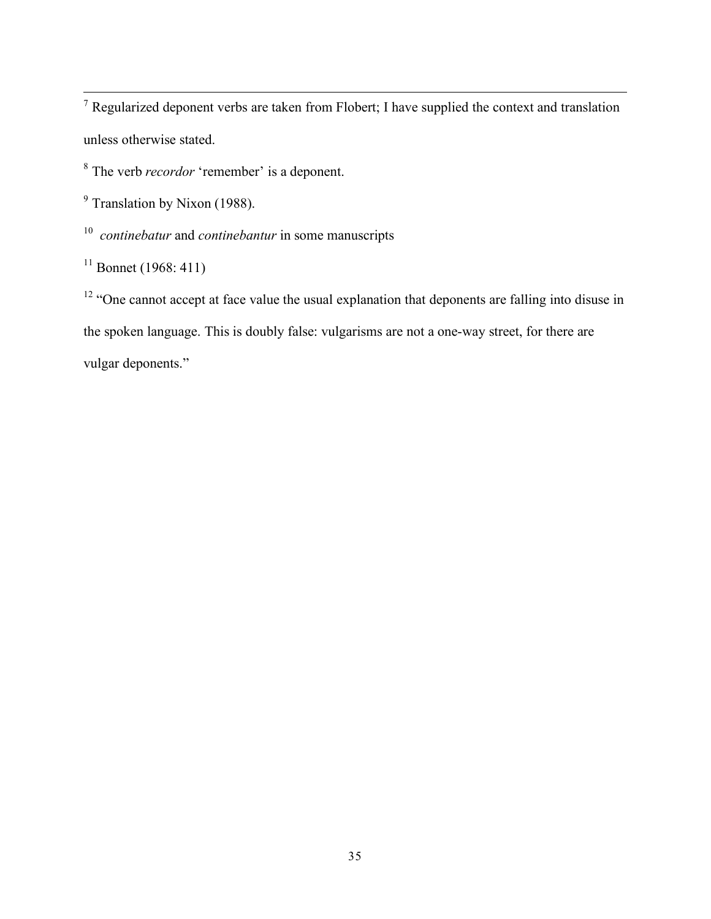<sup>-</sup> Regularized deponent verbs are taken from Flobert; I have supplied the context and translation unless otherwise stated.

8 The verb *recordor* 'remember' is a deponent.

<sup>9</sup> Translation by Nixon (1988).

10 *continebatur* and *continebantur* in some manuscripts

<sup>11</sup> Bonnet (1968: 411)

<sup>12</sup> "One cannot accept at face value the usual explanation that deponents are falling into disuse in the spoken language. This is doubly false: vulgarisms are not a one-way street, for there are vulgar deponents."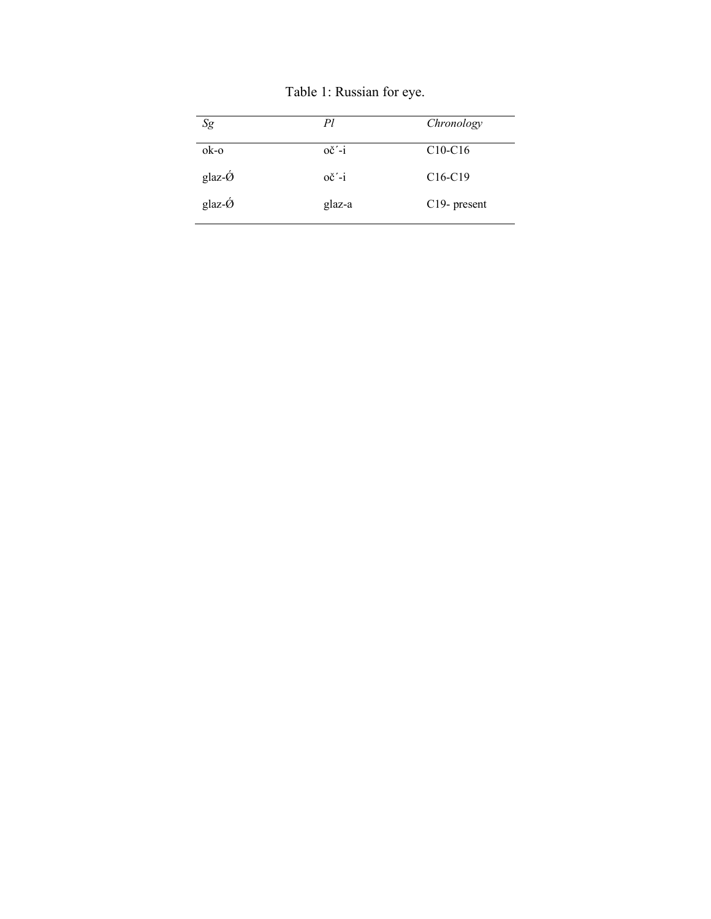Table 1: Russian for eye.

| Sg                      | Pl               | Chronology      |
|-------------------------|------------------|-----------------|
| $ok-o$                  | $o\check{c}'$ -i | $C10-C16$       |
| glaz- $\dot{\textcirc}$ | $o\check{c}'$ -i | $C16-C19$       |
| glaz- $\dot{\textcirc}$ | glaz-a           | $C19$ - present |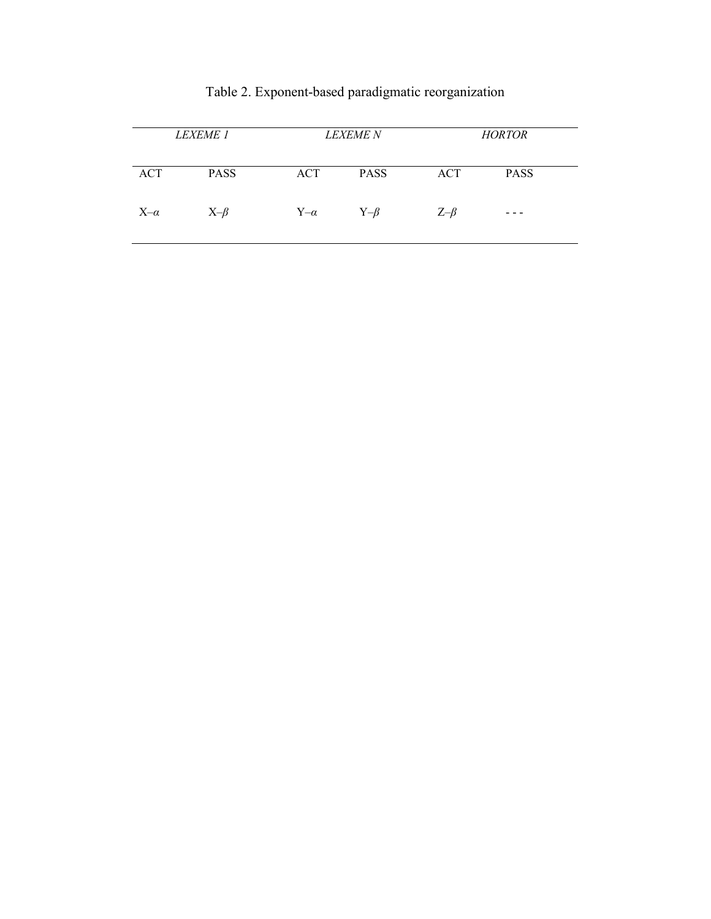|            | <i>LEXEME 1</i> |            | <b>LEXEME</b> N |            | <b>HORTOR</b> |  |  |
|------------|-----------------|------------|-----------------|------------|---------------|--|--|
| <b>ACT</b> | <b>PASS</b>     | <b>ACT</b> | <b>PASS</b>     | <b>ACT</b> | <b>PASS</b>   |  |  |
| $X-\alpha$ | $X-\beta$       | $Y-\alpha$ | $Y-\beta$       | $Z-\beta$  |               |  |  |

Table 2. Exponent-based paradigmatic reorganization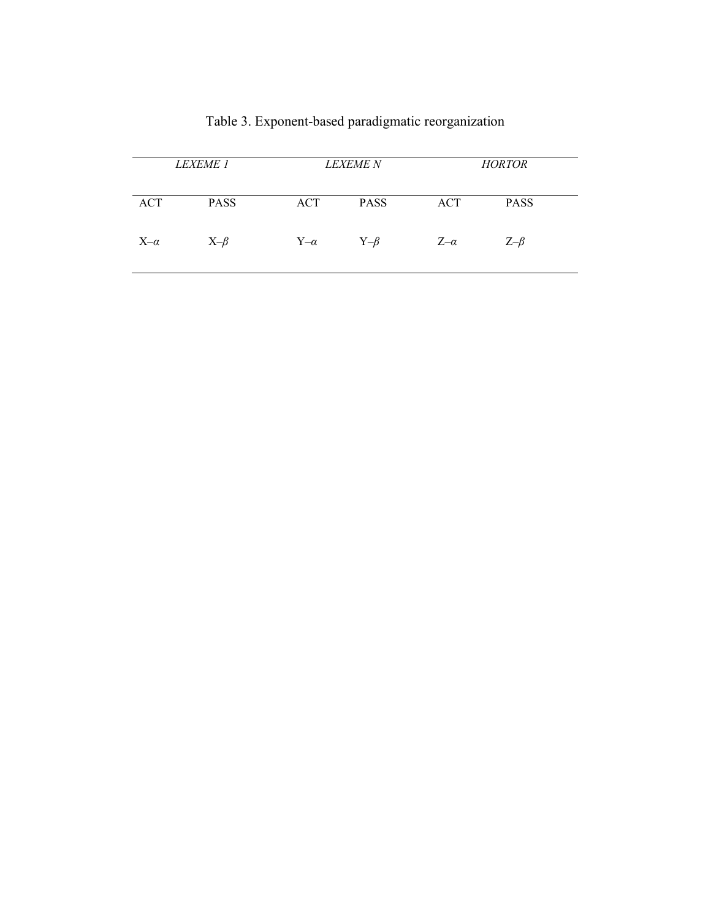| <b>LEXEME 1</b> |             |            | <i>LEXEME N</i> | <b>HORTOR</b> |             |  |
|-----------------|-------------|------------|-----------------|---------------|-------------|--|
| <b>ACT</b>      | <b>PASS</b> | <b>ACT</b> | <b>PASS</b>     | ACT           | <b>PASS</b> |  |
| $X-\alpha$      | $X-\beta$   | $Y-\alpha$ | $Y-\beta$       | $Z-\alpha$    | $Z-\beta$   |  |

Table 3. Exponent-based paradigmatic reorganization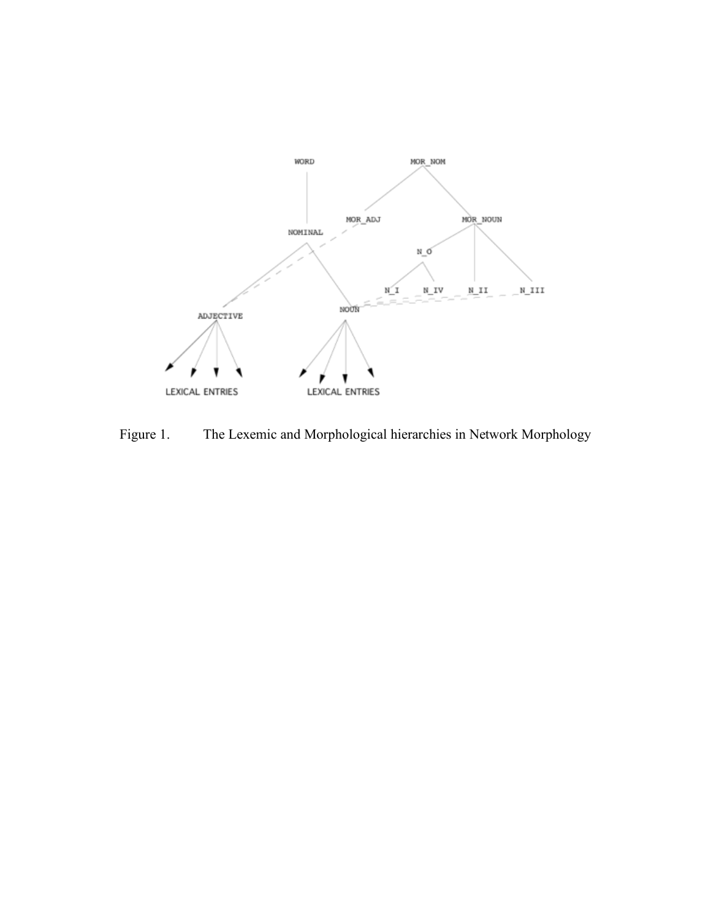

Figure 1. The Lexemic and Morphological hierarchies in Network Morphology